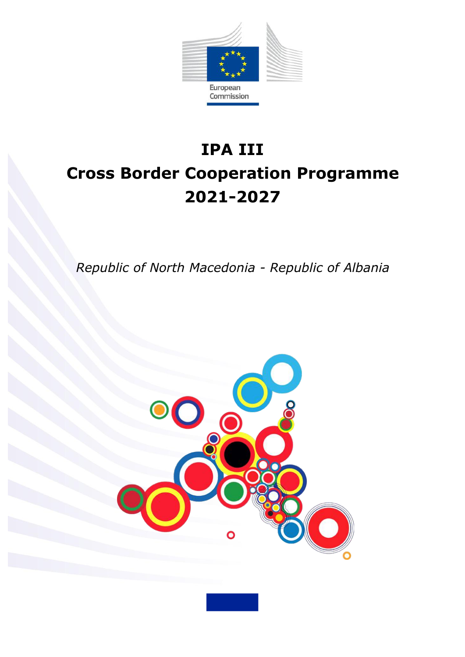

# **IPA III Cross Border Cooperation Programme 2021-2027**

*Republic of North Macedonia - Republic of Albania*

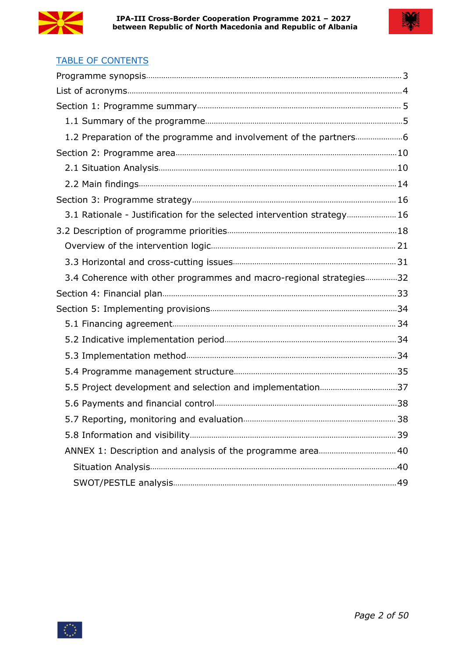



# **TABLE OF CONTENTS**

| 3.1 Rationale - Justification for the selected intervention strategy 16 |  |
|-------------------------------------------------------------------------|--|
|                                                                         |  |
|                                                                         |  |
|                                                                         |  |
| 3.4 Coherence with other programmes and macro-regional strategies32     |  |
|                                                                         |  |
|                                                                         |  |
|                                                                         |  |
|                                                                         |  |
|                                                                         |  |
|                                                                         |  |
|                                                                         |  |
|                                                                         |  |
|                                                                         |  |
|                                                                         |  |
| ANNEX 1: Description and analysis of the programme area 40              |  |
|                                                                         |  |
|                                                                         |  |

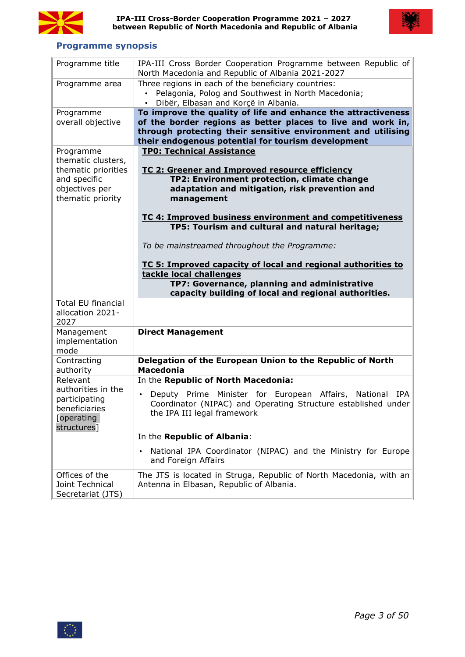



# <span id="page-2-0"></span>**Programme synopsis**

| Programme title                                                                                               | IPA-III Cross Border Cooperation Programme between Republic of<br>North Macedonia and Republic of Albania 2021-2027                                                                                                                                                                                                                |
|---------------------------------------------------------------------------------------------------------------|------------------------------------------------------------------------------------------------------------------------------------------------------------------------------------------------------------------------------------------------------------------------------------------------------------------------------------|
| Programme area                                                                                                | Three regions in each of the beneficiary countries:<br>• Pelagonia, Polog and Southwest in North Macedonia;<br>Dibër, Elbasan and Korçë in Albania.                                                                                                                                                                                |
| Programme                                                                                                     | To improve the quality of life and enhance the attractiveness                                                                                                                                                                                                                                                                      |
| overall objective                                                                                             | of the border regions as better places to live and work in,<br>through protecting their sensitive environment and utilising<br>their endogenous potential for tourism development                                                                                                                                                  |
| Programme<br>thematic clusters,<br>thematic priorities<br>and specific<br>objectives per<br>thematic priority | <b>TP0: Technical Assistance</b><br>TC 2: Greener and Improved resource efficiency<br>TP2: Environment protection, climate change<br>adaptation and mitigation, risk prevention and<br>management<br>TC 4: Improved business environment and competitiveness<br>TP5: Tourism and cultural and natural heritage;                    |
|                                                                                                               | To be mainstreamed throughout the Programme:<br>TC 5: Improved capacity of local and regional authorities to<br>tackle local challenges<br>TP7: Governance, planning and administrative<br>capacity building of local and regional authorities.                                                                                    |
| <b>Total EU financial</b><br>allocation 2021-<br>2027                                                         |                                                                                                                                                                                                                                                                                                                                    |
| Management<br>implementation<br>mode                                                                          | <b>Direct Management</b>                                                                                                                                                                                                                                                                                                           |
| Contracting<br>authority                                                                                      | Delegation of the European Union to the Republic of North<br><b>Macedonia</b>                                                                                                                                                                                                                                                      |
| Relevant<br>authorities in the<br>participating<br>beneficiaries<br>[operating<br>structures]                 | In the Republic of North Macedonia:<br>Deputy Prime Minister for European Affairs, National IPA<br>Coordinator (NIPAC) and Operating Structure established under<br>the IPA III legal framework<br>In the Republic of Albania:<br>National IPA Coordinator (NIPAC) and the Ministry for Europe<br>$\bullet$<br>and Foreign Affairs |
| Offices of the<br>Joint Technical<br>Secretariat (JTS)                                                        | The JTS is located in Struga, Republic of North Macedonia, with an<br>Antenna in Elbasan, Republic of Albania.                                                                                                                                                                                                                     |

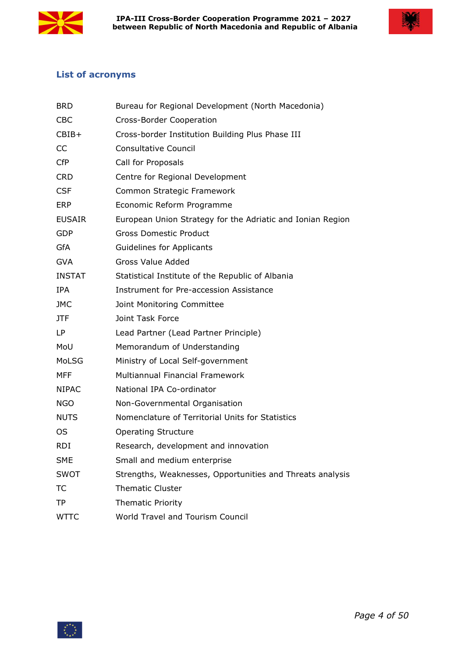



# <span id="page-3-0"></span>**List of acronyms**

| <b>BRD</b>    | Bureau for Regional Development (North Macedonia)          |
|---------------|------------------------------------------------------------|
| <b>CBC</b>    | Cross-Border Cooperation                                   |
| CBIB+         | Cross-border Institution Building Plus Phase III           |
| <b>CC</b>     | <b>Consultative Council</b>                                |
| <b>CfP</b>    | Call for Proposals                                         |
| <b>CRD</b>    | Centre for Regional Development                            |
| <b>CSF</b>    | Common Strategic Framework                                 |
| <b>ERP</b>    | Economic Reform Programme                                  |
| <b>EUSAIR</b> | European Union Strategy for the Adriatic and Ionian Region |
| <b>GDP</b>    | <b>Gross Domestic Product</b>                              |
| <b>GfA</b>    | Guidelines for Applicants                                  |
| <b>GVA</b>    | <b>Gross Value Added</b>                                   |
| <b>INSTAT</b> | Statistical Institute of the Republic of Albania           |
| IPA           | Instrument for Pre-accession Assistance                    |
| <b>JMC</b>    | Joint Monitoring Committee                                 |
| JTF           | Joint Task Force                                           |
| LP            | Lead Partner (Lead Partner Principle)                      |
| MoU           | Memorandum of Understanding                                |
| MoLSG         | Ministry of Local Self-government                          |
| <b>MFF</b>    | Multiannual Financial Framework                            |
| <b>NIPAC</b>  | National IPA Co-ordinator                                  |
| <b>NGO</b>    | Non-Governmental Organisation                              |
| <b>NUTS</b>   | Nomenclature of Territorial Units for Statistics           |
| <b>OS</b>     | <b>Operating Structure</b>                                 |
| <b>RDI</b>    | Research, development and innovation                       |
| <b>SME</b>    | Small and medium enterprise                                |
| <b>SWOT</b>   | Strengths, Weaknesses, Opportunities and Threats analysis  |
| ТC            | <b>Thematic Cluster</b>                                    |
| TP            | <b>Thematic Priority</b>                                   |
| <b>WTTC</b>   | World Travel and Tourism Council                           |

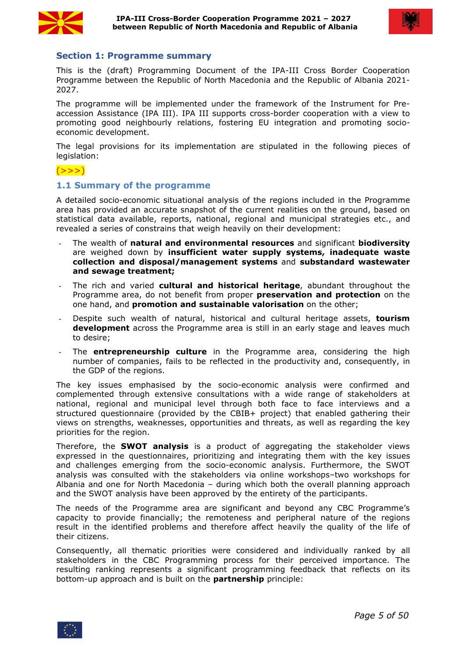



## <span id="page-4-0"></span>**Section 1: Programme summary**

This is the (draft) Programming Document of the IPA-III Cross Border Cooperation Programme between the Republic of North Macedonia and the Republic of Albania 2021- 2027.

The programme will be implemented under the framework of the Instrument for Pre accession Assistance (IPA III). IPA III supports cross-border cooperation with a view to promoting good neighbourly relations, fostering EU integration and promoting socio economic development.

The legal provisions for its implementation are stipulated in the following pieces of legislation:

# $(>>>)$

## <span id="page-4-1"></span>**1.1 Summary of the programme**

A detailed socio-economic situational analysis of the regions included in the Programme area has provided an accurate snapshot of the current realities on the ground, based on statistical data available, reports, national, regional and municipal strategies etc., and revealed a series of constrains that weigh heavily on their development:

- The wealth of **natural and environmental resources** and significant **biodiversity** are weighed down by **insufficient water supply systems, inadequate waste collection and disposal/management systems** and **substandard wastewater and sewage treatment;**
- The rich and varied **cultural and historical heritage**, abundant throughout the Programme area, do not benefit from proper **preservation and protection** on the one hand, and **promotion and sustainable valorisation** on the other;
- Despite such wealth of natural, historical and cultural heritage assets, **tourism development** across the Programme area is still in an early stage and leaves much to desire;
- The **entrepreneurship culture** in the Programme area, considering the high number of companies, fails to be reflected in the productivity and, consequently, in the GDP of the regions.<br>The key issues emphasised by the socio-economic analysis were confirmed and

complemented through extensive consultations with a wide range of stakeholders at national, regional and municipal level through both face to face interviews and a structured questionnaire (provided by the CBIB+ project) that enabled gathering their views on strengths, weaknesses, opportunities and threats, as well as regarding the key priorities for the region.

Therefore, the **SWOT analysis** is a product of aggregating the stakeholder views expressed in the questionnaires, prioritizing and integrating them with the key issues and challenges emerging from the socio-economic analysis. Furthermore, the SWOT analysis was consulted with the stakeholders via online workshops–two workshops for Albania and one for North Macedonia – during which both the overall planning approach and the SWOT analysis have been approved by the entirety of the participants.

The needs of the Programme area are significant and beyond any CBC Programme's capacity to provide financially; the remoteness and peripheral nature of the regions result in the identified problems and therefore affect heavily the quality of the life of their citizens.

Consequently, all thematic priorities were considered and individually ranked by all stakeholders in the CBC Programming process for their perceived importance. The resulting ranking represents a significant programming feedback that reflects on its bottom-up approach and is built on the **partnership** principle:

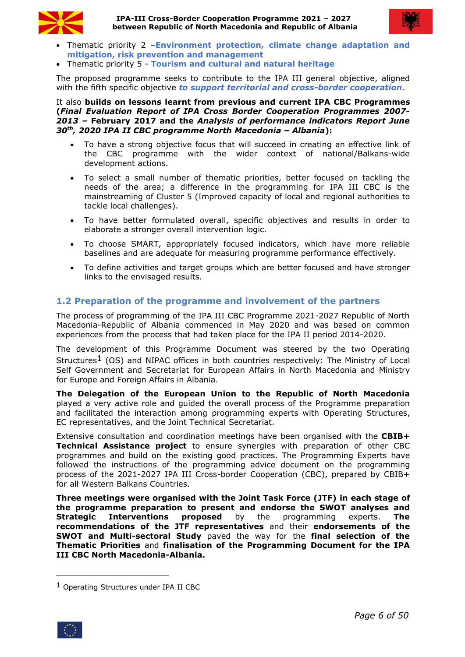



- Thematic priority 2 –**Environment protection, climate change adaptation and mitigation, risk prevention and management**
- Thematic priority 5 **Tourism and cultural and natural heritage**

The proposed programme seeks to contribute to the IPA III general objective, aligned with the fifth specific objective *to support territorial and cross-border cooperation.*

#### It also **builds on lessons learnt from previous and current IPA CBC Programmes (***Final Evaluation Report of IPA Cross Border Cooperation Programmes 2007- 2013 –* **February 2017 and the** *Analysis of performance indicators Report June 30 th , 2020 IPA II CBC programme North Macedonia – Albania***):**

- To have a strong objective focus that will succeed in creating an effective link of the CBC programme with the wider context of national/Balkans-wide development actions.
- To select a small number of thematic priorities, better focused on tackling the needs of the area; a difference in the programming for IPA III CBC is the mainstreaming of Cluster 5 (Improved capacity of local and regional authorities to tackle local challenges).
- To have better formulated overall, specific objectives and results in order to elaborate a stronger overall intervention logic.
- To choose SMART, appropriately focused indicators, which have more reliable baselines and are adequate for measuring programme performance effectively.
- To define activities and target groups which are better focused and have stronger links to the envisaged results.

# <span id="page-5-0"></span>**1.2 Preparation of the programme and involvement of the partners**

The process of programming of the IPA III CBC Programme 2021-2027 Republic of North Macedonia-Republic of Albania commenced in May 2020 and was based on common experiences from the process that had taken place for the IPA II period 2014-2020.

The development of this Programme Document was steered by the two Operating Structures<sup>1</sup> (OS) and NIPAC offices in both countries respectively: The Ministry of Local Self Government and Secretariat for European Affairs in North Macedonia and Ministry for Europe and Foreign Affairs in Albania.

**The Delegation of the European Union to the Republic of North Macedonia** played a very active role and guided the overall process of the Programme preparation and facilitated the interaction among programming experts with Operating Structures, EC representatives, and the Joint Technical Secretariat.

Extensive consultation and coordination meetings have been organised with the **CBIB+ Technical Assistance project** to ensure synergies with preparation of other CBC programmes and build on the existing good practices. The Programming Experts have followed the instructions of the programming advice document on the programming process of the 2021-2027 IPA III Cross-border Cooperation (CBC), prepared by CBIB+ for all Western Balkans Countries.

**Three meetings were organised with the Joint Task Force (JTF) in each stage of the programme preparation to present and endorse the SWOT analyses and Strategic Interventions proposed** by the programming experts. **The recommendations of the JTF representatives** and their **endorsements of the SWOT and Multi-sectoral Study** paved the way for the **final selection of the Thematic Priorities** and **finalisation of the Programming Document for the IPA III CBC North Macedonia-Albania.**

<span id="page-5-1"></span><sup>1</sup> Operating Structures under IPA II CBC

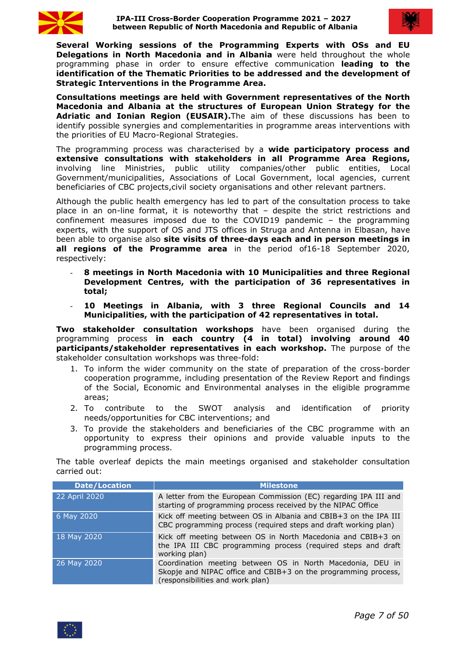



**Several Working sessions of the Programming Experts with OSs and EU Delegations in North Macedonia and in Albania** were held throughout the whole programming phase in order to ensure effective communication **leading to the identification of the Thematic Priorities to be addressed and the development of Strategic Interventions in the Programme Area.**

**Consultations meetings are held with Government representatives of the North Macedonia and Albania at the structures of European Union Strategy for the Adriatic and Ionian Region (EUSAIR).**The aim of these discussions has been to identify possible synergies and complementarities in programme areas interventions with the priorities of EU Macro-Regional Strategies.

The programming process was characterised by a **wide participatory process and extensive consultations with stakeholders in all Programme Area Regions,** involving line Ministries, public utility companies/other public entities, Local Government/municipalities, Associations of Local Government, local agencies, current beneficiaries of CBC projects,civil society organisations and other relevant partners.

Although the public health emergency has led to part of the consultation process to take place in an on-line format, it is noteworthy that  $-$  despite the strict restrictions and confinement measures imposed due to the COVID19 pandemic – the programming experts, with the support of OS and JTS offices in Struga and Antenna in Elbasan, have been able to organise also **site visits of three-days each and in person meetings in all regions of the Programme area** in the period of16-18 September 2020, respectively:

- **8 meetings in North Macedonia with 10 Municipalities and three Regional Development Centres, with the participation of 36 representatives in total;**
- **10 Meetings in Albania, with 3 three Regional Councils and 14 Municipalities, with the participation of 42 representatives in total.**

**Two stakeholder consultation workshops** have been organised during the programming process **in each country (4 in total) involving around 40 participants/stakeholder representatives in each workshop.** The purpose of the stakeholder consultation workshops was three-fold:

- 1. To inform the wider community on the state of preparation of the cross-border cooperation programme, including presentation of the Review Report and findings of the Social, Economic and Environmental analyses in the eligible programme areas;
- 2. To contribute to the SWOT analysis and identification of priority needs/opportunities for CBC interventions; and
- 3. To provide the stakeholders and beneficiaries of the CBC programme with an opportunity to express their opinions and provide valuable inputs to the programming process.

The table overleaf depicts the main meetings organised and stakeholder consultation carried out:

| <b>Date/Location</b> | <b>Milestone</b>                                                                                                                                                 |
|----------------------|------------------------------------------------------------------------------------------------------------------------------------------------------------------|
| 22 April 2020        | A letter from the European Commission (EC) regarding IPA III and<br>starting of programming process received by the NIPAC Office                                 |
| 6 May 2020           | Kick off meeting between OS in Albania and CBIB+3 on the IPA III<br>CBC programming process (required steps and draft working plan)                              |
| 18 May 2020          | Kick off meeting between OS in North Macedonia and CBIB+3 on<br>the IPA III CBC programming process (required steps and draft<br>working plan)                   |
| 26 May 2020          | Coordination meeting between OS in North Macedonia, DEU in<br>Skopje and NIPAC office and CBIB+3 on the programming process,<br>(responsibilities and work plan) |

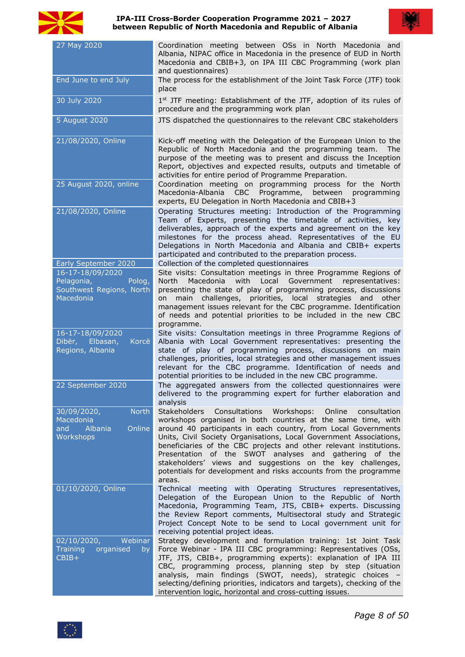

#### **IPA-III Cross-Border Cooperation Programme 2021 – 2027 between Republic of North Macedonia and Republic of Albania**



| 27 May 2020                                                                       | Coordination meeting between OSs in North Macedonia and<br>Albania, NIPAC office in Macedonia in the presence of EUD in North<br>Macedonia and CBIB+3, on IPA III CBC Programming (work plan<br>and questionnaires)                                                                                                                                                                                                                                                                                                                                           |
|-----------------------------------------------------------------------------------|---------------------------------------------------------------------------------------------------------------------------------------------------------------------------------------------------------------------------------------------------------------------------------------------------------------------------------------------------------------------------------------------------------------------------------------------------------------------------------------------------------------------------------------------------------------|
| End June to end July                                                              | The process for the establishment of the Joint Task Force (JTF) took<br>place                                                                                                                                                                                                                                                                                                                                                                                                                                                                                 |
| 30 July 2020                                                                      | 1st JTF meeting: Establishment of the JTF, adoption of its rules of<br>procedure and the programming work plan                                                                                                                                                                                                                                                                                                                                                                                                                                                |
| 5 August 2020                                                                     | JTS dispatched the questionnaires to the relevant CBC stakeholders                                                                                                                                                                                                                                                                                                                                                                                                                                                                                            |
| 21/08/2020, Online                                                                | Kick-off meeting with the Delegation of the European Union to the<br>Republic of North Macedonia and the programming team. The<br>purpose of the meeting was to present and discuss the Inception<br>Report, objectives and expected results, outputs and timetable of<br>activities for entire period of Programme Preparation.                                                                                                                                                                                                                              |
| 25 August 2020, online                                                            | Coordination meeting on programming process for the North<br>Macedonia-Albania CBC Programme,<br>between programming<br>experts, EU Delegation in North Macedonia and CBIB+3                                                                                                                                                                                                                                                                                                                                                                                  |
| 21/08/2020, Online<br>Early September 2020                                        | Operating Structures meeting: Introduction of the Programming<br>Team of Experts, presenting the timetable of activities, key<br>deliverables, approach of the experts and agreement on the key<br>milestones for the process ahead. Representatives of the EU<br>Delegations in North Macedonia and Albania and CBIB+ experts<br>participated and contributed to the preparation process.<br>Collection of the completed questionnaires                                                                                                                      |
| 16-17-18/09/2020<br>Pelagonia,<br>Polog,<br>Southwest Regions, North<br>Macedonia | Site visits: Consultation meetings in three Programme Regions of<br>Macedonia with Local Government representatives:<br>North<br>presenting the state of play of programming process, discussions<br>on main challenges, priorities, local strategies and other<br>management issues relevant for the CBC programme. Identification<br>of needs and potential priorities to be included in the new CBC<br>programme.                                                                                                                                          |
| 16-17-18/09/2020<br>Dibër, Elbasan,<br>Korcë<br>Regions, Albania                  | Site visits: Consultation meetings in three Programme Regions of<br>Albania with Local Government representatives: presenting the<br>state of play of programming process, discussions on main<br>challenges, priorities, local strategies and other management issues<br>relevant for the CBC programme. Identification of needs and<br>potential priorities to be included in the new CBC programme.                                                                                                                                                        |
| 22 September 2020                                                                 | The aggregated answers from the collected questionnaires were<br>delivered to the programming expert for further elaboration and<br>analysis                                                                                                                                                                                                                                                                                                                                                                                                                  |
| 30/09/2020,<br><b>North</b><br>Macedonia<br>and<br>Albania<br>Online<br>Workshops | <b>Stakeholders</b><br>Consultations Workshops:<br>Online<br>consultation<br>workshops organised in both countries at the same time, with<br>around 40 participants in each country, from Local Governments<br>Units, Civil Society Organisations, Local Government Associations,<br>beneficiaries of the CBC projects and other relevant institutions.<br>Presentation of the SWOT analyses and gathering of the<br>stakeholders' views and suggestions on the key challenges,<br>potentials for development and risks accounts from the programme<br>areas. |
| 01/10/2020, Online                                                                | Technical meeting with Operating Structures representatives,<br>Delegation of the European Union to the Republic of North<br>Macedonia, Programming Team, JTS, CBIB+ experts. Discussing<br>the Review Report comments, Multisectoral study and Strategic<br>Project Concept Note to be send to Local government unit for<br>receiving potential project ideas.                                                                                                                                                                                               |
| 02/10/2020,<br>Webinar<br><b>Training</b><br>organised<br>by<br>CBIB+             | Strategy development and formulation training: 1st Joint Task<br>Force Webinar - IPA III CBC programming: Representatives (OSs,<br>JTF, JTS, CBIB+, programming experts): explanation of IPA III<br>CBC, programming process, planning step by step (situation<br>analysis, main findings (SWOT, needs), strategic choices -<br>selecting/defining priorities, indicators and targets), checking of the<br>intervention logic, horizontal and cross-cutting issues.                                                                                           |

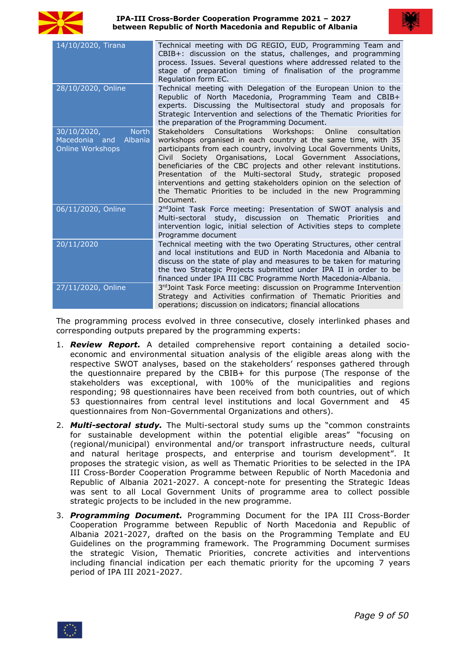



| CBIB+: discussion on the status, challenges, and programming<br>process. Issues. Several questions where addressed related to the<br>stage of preparation timing of finalisation of the programme<br>Regulation form EC.<br>28/10/2020, Online<br>Technical meeting with Delegation of the European Union to the<br>Republic of North Macedonia, Programming Team and CBIB+<br>experts. Discussing the Multisectoral study and proposals for<br>the preparation of the Programming Document.<br>30/10/2020,<br>Stakeholders<br>Consultations Workshops: Online<br><b>North</b><br>Macedonia and<br>Albania<br>Online Workshops<br>participants from each country, involving Local Governments Units,<br>Civil Society Organisations, Local Government Associations,<br>beneficiaries of the CBC projects and other relevant institutions.<br>Presentation of the Multi-sectoral Study, strategic proposed<br>the Thematic Priorities to be included in the new Programming<br>Document.<br>06/11/2020, Online<br>2 <sup>nd</sup> Joint Task Force meeting: Presentation of SWOT analysis and<br>Multi-sectoral study, discussion on Thematic Priorities and<br>intervention logic, initial selection of Activities steps to complete<br>Programme document<br>20/11/2020<br>Technical meeting with the two Operating Structures, other central<br>and local institutions and EUD in North Macedonia and Albania to<br>discuss on the state of play and measures to be taken for maturing<br>the two Strategic Projects submitted under IPA II in order to be<br>financed under IPA III CBC Programme North Macedonia-Albania.<br>27/11/2020, Online<br>Strategy and Activities confirmation of Thematic Priorities and<br>operations; discussion on indicators; financial allocations |                    |                                                            |
|---------------------------------------------------------------------------------------------------------------------------------------------------------------------------------------------------------------------------------------------------------------------------------------------------------------------------------------------------------------------------------------------------------------------------------------------------------------------------------------------------------------------------------------------------------------------------------------------------------------------------------------------------------------------------------------------------------------------------------------------------------------------------------------------------------------------------------------------------------------------------------------------------------------------------------------------------------------------------------------------------------------------------------------------------------------------------------------------------------------------------------------------------------------------------------------------------------------------------------------------------------------------------------------------------------------------------------------------------------------------------------------------------------------------------------------------------------------------------------------------------------------------------------------------------------------------------------------------------------------------------------------------------------------------------------------------------------------------------------------------------------------------------------------|--------------------|------------------------------------------------------------|
| Strategic Intervention and selections of the Thematic Priorities for<br>consultation<br>workshops organised in each country at the same time, with 35<br>3rd Joint Task Force meeting: discussion on Programme Intervention                                                                                                                                                                                                                                                                                                                                                                                                                                                                                                                                                                                                                                                                                                                                                                                                                                                                                                                                                                                                                                                                                                                                                                                                                                                                                                                                                                                                                                                                                                                                                           | 14/10/2020, Tirana | Technical meeting with DG REGIO, EUD, Programming Team and |
| interventions and getting stakeholders opinion on the selection of                                                                                                                                                                                                                                                                                                                                                                                                                                                                                                                                                                                                                                                                                                                                                                                                                                                                                                                                                                                                                                                                                                                                                                                                                                                                                                                                                                                                                                                                                                                                                                                                                                                                                                                    |                    |                                                            |
|                                                                                                                                                                                                                                                                                                                                                                                                                                                                                                                                                                                                                                                                                                                                                                                                                                                                                                                                                                                                                                                                                                                                                                                                                                                                                                                                                                                                                                                                                                                                                                                                                                                                                                                                                                                       |                    |                                                            |
|                                                                                                                                                                                                                                                                                                                                                                                                                                                                                                                                                                                                                                                                                                                                                                                                                                                                                                                                                                                                                                                                                                                                                                                                                                                                                                                                                                                                                                                                                                                                                                                                                                                                                                                                                                                       |                    |                                                            |
|                                                                                                                                                                                                                                                                                                                                                                                                                                                                                                                                                                                                                                                                                                                                                                                                                                                                                                                                                                                                                                                                                                                                                                                                                                                                                                                                                                                                                                                                                                                                                                                                                                                                                                                                                                                       |                    |                                                            |
|                                                                                                                                                                                                                                                                                                                                                                                                                                                                                                                                                                                                                                                                                                                                                                                                                                                                                                                                                                                                                                                                                                                                                                                                                                                                                                                                                                                                                                                                                                                                                                                                                                                                                                                                                                                       |                    |                                                            |

The programming process evolved in three consecutive, closely interlinked phases and corresponding outputs prepared by the programming experts:

- 1. *Review Report.* A detailed comprehensive report containing a detailed socio economic and environmental situation analysis of the eligible areas along with the respective SWOT analyses, based on the stakeholders' responses gathered through the questionnaire prepared by the CBIB+ for this purpose (The response of the stakeholders was exceptional, with 100% of the municipalities and regions responding; 98 questionnaires have been received from both countries, out of which 53 questionnaires from central level institutions and local Government and 45 questionnaires from Non-Governmental Organizations and others).
- 2. *Multi-sectoral study.* The Multi-sectoral study sums up the "common constraints for sustainable development within the potential eligible areas" "focusing on (regional/municipal) environmental and/or transport infrastructure needs, cultural and natural heritage prospects, and enterprise and tourism development". It proposes the strategic vision, as well as Thematic Priorities to be selected in the IPA III Cross-Border Cooperation Programme between Republic of North Macedonia and Republic of Albania 2021-2027. A concept-note for presenting the Strategic Ideas was sent to all Local Government Units of programme area to collect possible strategic projects to be included in the new programme.
- 3. *Programming Document.* Programming Document for the IPA III Cross-Border Cooperation Programme between Republic of North Macedonia and Republic of Albania 2021-2027, drafted on the basis on the Programming Template and EU Guidelines on the programming framework. The Programming Document surmises the strategic Vision, Thematic Priorities, concrete activities and interventions including financial indication per each thematic priority for the upcoming 7 years period of IPA III 2021-2027.

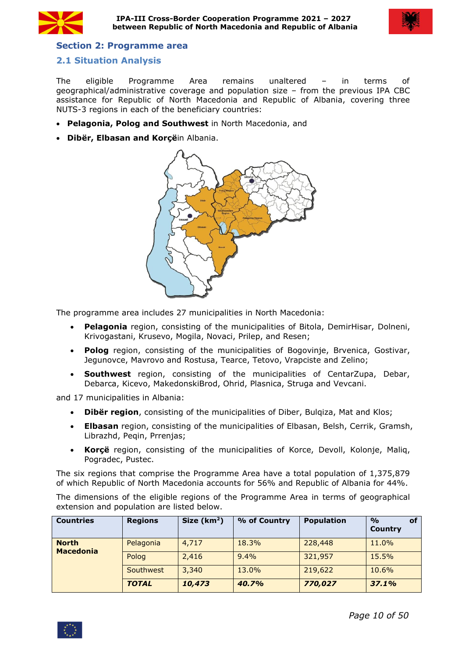



# <span id="page-9-0"></span>**Section 2: Programme area**

# <span id="page-9-1"></span>**2.1 Situation Analysis**

The eligible Programme Area remains unaltered – in terms of geographical/administrative coverage and population size – from the previous IPA CBC assistance for Republic of North Macedonia and Republic of Albania, covering three NUTS-3 regions in each of the beneficiary countries:

- **Pelagonia, Polog and Southwest** in North Macedonia, and
- **Dibër, Elbasan and Korçë**in Albania.



The programme area includes 27 municipalities in North Macedonia:

- **Pelagonia** region, consisting of the municipalities of Bitola, DemirHisar, Dolneni, Krivogastani, Krusevo, Mogila, Novaci, Prilep, and Resen;
- **Polog** region, consisting of the municipalities of Bogovinje, Brvenica, Gostivar, Jegunovce, Mavrovo and Rostusa, Tearce, Tetovo, Vrapciste and Zelino;
- **Southwest** region, consisting of the municipalities of CentarZupa, Debar, Debarca, Kicevo, MakedonskiBrod, Ohrid, Plasnica, Struga and Vevcani.

and 17 municipalities in Albania:

- **Dibër region**, consisting of the municipalities of Diber, Bulqiza, Mat and Klos;
- **Elbasan** region, consisting of the municipalities of Elbasan, Belsh, Cerrik, Gramsh, Librazhd, Peqin, Prrenjas;
- **Korçë** region, consisting of the municipalities of Korce, Devoll, Kolonje, Maliq, Pogradec, Pustec.

The six regions that comprise the Programme Area have a total population of 1,375,879 of which Republic of North Macedonia accounts for 56% and Republic of Albania for 44%.

The dimensions of the eligible regions of the Programme Area in terms of geographical extension and population are listed below.

| <b>Countries</b>                 | <b>Regions</b> | Size $(km2)$ | % of Country | <b>Population</b> | $\frac{1}{2}$<br>οf<br><b>Country</b> |
|----------------------------------|----------------|--------------|--------------|-------------------|---------------------------------------|
| <b>North</b><br><b>Macedonia</b> | Pelagonia      | 4,717        | 18.3%        | 228,448           | 11.0%                                 |
|                                  | Polog          | 2,416        | 9.4%         | 321,957           | 15.5%                                 |
|                                  | Southwest      | 3,340        | 13.0%        | 219,622           | 10.6%                                 |
|                                  | <b>TOTAL</b>   | 10,473       | 40.7%        | 770,027           | 37.1%                                 |

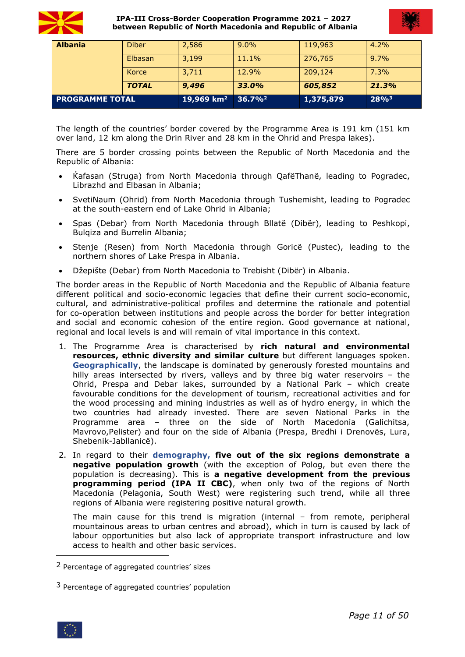



| <b>PROGRAMME TOTAL</b> |              | 19,969 km <sup>2</sup> 36.7% <sup>2</sup> |         | 1,375,879 | $28\%^{3}$ |
|------------------------|--------------|-------------------------------------------|---------|-----------|------------|
|                        | <b>TOTAL</b> | 9,496                                     | 33.0%   | 605,852   | 21.3%      |
|                        | Korce        | 3,711                                     | 12.9%   | 209,124   | 7.3%       |
|                        | Elbasan      | 3,199                                     | 11.1%   | 276,765   | 9.7%       |
| <b>Albania</b>         | <b>Diber</b> | 2,586                                     | $9.0\%$ | 119,963   | $4.2\%$    |

The length of the countries' border covered by the Programme Area is 191 km (151 km over land, 12 km along the Drin River and 28 km in the Ohrid and Prespa lakes).

There are 5 border crossing points between the Republic of North Macedonia and the Republic of Albania:

- [Ќafasan](https://en.wikipedia.org/wiki/Qaf%C3%AB_Than%C3%AB) ([Struga](https://en.wikipedia.org/wiki/Struga_Municipality)) from North Macedonia through [QafëThanë](https://en.wikipedia.org/wiki/Qaf%C3%AB_Than%C3%AB), leading to [Pogradec](https://en.wikipedia.org/wiki/Pogradec), Librazhd and Elbasan in Albania;
- [SvetiN](https://en.wikipedia.org/wiki/Monastery_of_Saint_Naum)aum [\(Ohrid\)](https://en.wikipedia.org/wiki/Ohrid_Municipality) from North Macedonia through Tushemisht, leading to Pogradec at the south-eastern end of Lake Ohrid in Albania;
- [Spas](https://en.wikipedia.org/w/index.php?title=Spas,_Republic_of_Macedonia&action=edit&redlink=1) [\(Debar](https://en.wikipedia.org/wiki/Debar_Municipality)) from North Macedonia through [Bllatë](https://en.wikipedia.org/wiki/Bllat%C3%AB_e_Sip%C3%ABrme) [\(Dibër](https://en.wikipedia.org/wiki/Dib%C3%ABr,_Albania)), leading to Peshkopi, Bulqiza and Burrelin Albania;
- [Stenje](https://en.wikipedia.org/wiki/Stenje) ([Resen](https://en.wikipedia.org/wiki/Resen_Municipality)) from North Macedonia through [Goricë](https://en.wikipedia.org/wiki/Goric%C3%AB_e_Madhe) ([Pustec\)](https://en.wikipedia.org/wiki/Pustec_Municipality), leading to the northern shores of Lake Prespa in Albania.
- Džepište (Debar) from North Macedonia to [Trebisht](https://en.wikipedia.org/wiki/Trebisht) [\(Dibër](https://en.wikipedia.org/wiki/Dib%C3%ABr,_Albania)) in Albania.

The border areas in the Republic of North Macedonia and the Republic of Albania feature different political and socio-economic legacies that define their current socio-economic, cultural, and administrative-political profiles and determine the rationale and potential for co-operation between institutions and people across the border for better integration and social and economic cohesion of the entire region. Good governance at national, regional and local levels is and will remain of vital importance in this context.

- 1. The Programme Area is characterised by **rich natural and environmental resources, ethnic diversity and similar culture** but different languages spoken. **Geographically**, the landscape is dominated by generously forested mountains and hilly areas intersected by rivers, valleys and by three big water reservoirs – the Ohrid, Prespa and Debar lakes, surrounded by a National Park – which create favourable conditions for the development of tourism, recreational activities and for the wood processing and mining industries as well as of hydro energy, in which the two countries had already invested. There are seven National Parks in the Programme area – three on the side of North Macedonia (Galichitsa, Mavrovo,Pelister) and four on the side of Albania (Prespa, Bredhi i Drenovës, Lura, Shebenik-Jabllanicë).
- 2. In regard to their **demography, five out of the six regions demonstrate a negative population growth** (with the exception of Polog, but even there the population is decreasing). This is **a negative development from the previous programming period (IPA II CBC)**, when only two of the regions of North Macedonia (Pelagonia, South West) were registering such trend, while all three regions of Albania were registering positive natural growth.

The main cause for this trend is migration (internal – from remote, peripheral mountainous areas to urban centres and abroad), which in turn is caused by lack of labour opportunities but also lack of appropriate transport infrastructure and low access to health and other basic services.

<span id="page-10-1"></span> $3$  Percentage of aggregated countries' population



<span id="page-10-0"></span><sup>2</sup> Percentage of aggregated countries' sizes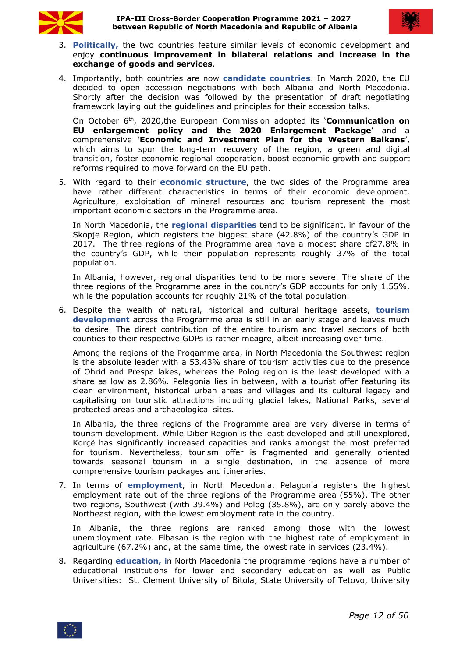



- 3. **Politically,** the two countries feature similar levels of economic development and enjoy **continuous improvement in bilateral relations and increase in the exchange of goods and services**.
- 4. Importantly, both countries are now **candidate countries**. In March 2020, the EU decided to open accession negotiations with both Albania and North Macedonia. Shortly after the decision was followed by the presentation of draft negotiating framework laying out the guidelines and principles for their accession talks.

On October 6<sup>th</sup>, 2020,the European Commission adopted its **'[Communication](https://ec.europa.eu/neighbourhood-enlargement/sites/near/files/20201006-communication-on-eu-enlargement-policy_en.pdf) on EU enlargement policy and the 2020 Enlargement Package**' and a comprehensive '**Economic and [Investment](https://ec.europa.eu/commission/presscorner/detail/en/IP_20_1811) Plan for the Western Balkans**', which aims to spur the long-term recovery of the region, a green and digital transition, foster economic regional cooperation, boost economic growth and support reforms required to move forward on the EU path.

5. With regard to their **economic structure**, the two sides of the Programme area have rather different characteristics in terms of their economic development. Agriculture, exploitation of mineral resources and tourism represent the most important economic sectors in the Programme area.

In North Macedonia, the **regional disparities** tend to be significant, in favour ofthe Skopje Region, which registers the biggest share (42.8%) of the country's GDP in 2017. The three regions of the Programme area have a modest share of27.8% in the country's GDP, while their population represents roughly 37% of the total population.

In Albania, however, regional disparities tend to be more severe. The share of the three regions of the Programme area in the country's GDP accounts for only 1.55%, while the population accounts for roughly 21% of the total population.

6. Despite the wealth of natural, historical and cultural heritage assets, **tourism** development across the Programme area is still in an early stage and leaves much to desire. The direct contribution of the entire tourism and travel sectors of both counties to their respective GDPs is rather meagre, albeit increasing over time.

Among the regions of the Progamme area, in North Macedonia the Southwest region is the absolute leader with a 53.43% share of tourism activities due to the presence of Ohrid and Prespa lakes, whereas the Polog region is the least developed with a share as low as 2.86%. Pelagonia lies in between, with a tourist offer featuring its clean environment, historical urban areas and villages and its cultural legacy and capitalising on touristic attractions including glacial lakes, National Parks, several protected areas and archaeological sites.

In Albania, the three regions of the Programme area are very diverse in terms of tourism development. While Dibër Region is the least developed and still unexplored, Korçë has significantly increased capacities and ranks amongst the most preferred for tourism. Nevertheless, tourism offer is fragmented and generally oriented towards seasonal tourism in a single destination, in the absence of more comprehensive tourism packages and itineraries.

7. In terms of**employment**, in North Macedonia, Pelagonia registers the highest employment rate out of the three regions of the Programme area (55%). The other two regions, Southwest (with 39.4%) and Polog (35.8%), are only barely above the Northeast region, with the lowest employment rate in the country.

In Albania, the three regions are ranked among those with the lowest unemployment rate. Elbasan is the region with the highest rate of employment in agriculture (67.2%) and, at the same time, the lowest rate in services (23.4%).

8. Regarding **education, i**n North Macedonia the programme regions have a number of educational institutions for lower and secondary education as well as Public Universities: St. Clement University of Bitola, State University of Tetovo, [University](https://en.wikipedia.org/wiki/University_of_Information_Science_and_Technology_%22St._Paul_The_Apostle%22)

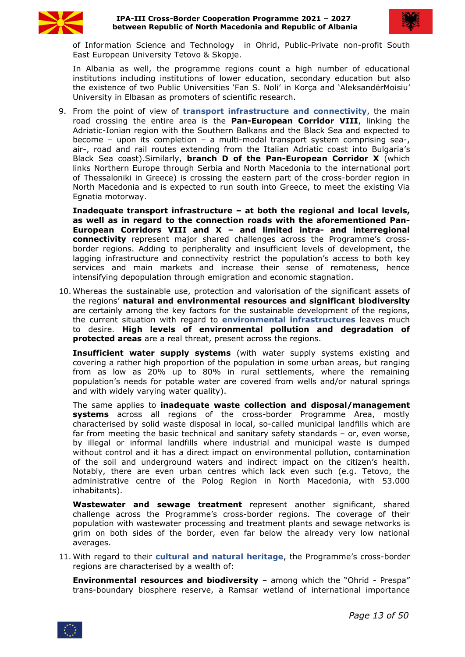



of [Information](https://en.wikipedia.org/wiki/University_of_Information_Science_and_Technology_%22St._Paul_The_Apostle%22) Science and Technology in Ohrid, Public-Private non-profit South East European University Tetovo & Skopje.

In Albania as well, the programme regions count a high number of educational institutions including institutions of lower education, secondary education but also the existence of two Public Universities 'Fan S. Noli' in Korça and 'AleksandërMoisiu' University in Elbasan as promoters of scientific research.

9. From the point of view of **transport infrastructure and connectivity**, the main road crossing the entire area is the **Pan-European Corridor VIII**, linking the Adriatic-Ionian region with the Southern Balkans and the Black Sea and expected to become – upon its completion – a multi-modal transport system comprising sea-, air-, road and rail routes extending from the Italian Adriatic coast into Bulgaria's Black Sea coast).Similarly, **branch D of the Pan-European Corridor X** (which links Northern Europe through Serbia and North Macedonia to the international port of Thessaloniki in Greece) is crossing the eastern part of the cross-border region in North Macedonia and is expected to run south into Greece, to meet the existing Via Egnatia motorway.

**Inadequate transport infrastructure – at both the regional and local levels, as well as in regard to the connection roads with the aforementioned Pan- European Corridors VIII and X – and limited intra- and interregional connectivity** represent major shared challenges across the Programme's cross border regions. Adding to peripherality and insufficient levels of development, the lagging infrastructure and connectivity restrict the population's access to both key services and main markets and increase their sense of remoteness, hence intensifying depopulation through emigration and economic stagnation.

10. Whereas the sustainable use, protection and valorisation of the significant assets of the regions' **natural and environmental resources and significant biodiversity** are certainly among the key factors for the sustainable development of the regions, the current situation with regard to **environmental infrastructures** leaves much to desire. **High levels of environmental pollution and degradation of protected areas** are a real threat, present across the regions.

**Insufficient water supply systems** (with water supply systems existing and covering a rather high proportion of the population in some urban areas, but ranging from as low as 20% up to 80% in rural settlements, where the remaining population's needs for potable water are covered from wells and/or natural springs and with widely varying water quality).

The same applies to **inadequate waste collection and disposal/management systems** across all regions of the cross-border Programme Area, mostly characterised by solid waste disposal in local, so-called municipal landfills which are far from meeting the basic technical and sanitary safety standards – or, even worse, by illegal or informal landfills where industrial and municipal waste is dumped without control and it has a direct impact on environmental pollution, contamination of the soil and underground waters and indirect impact on the citizen's health. Notably, there are even urban centres which lack even such (e.g. Tetovo, the administrative centre of the Polog Region in North Macedonia, with 53.000 inhabitants).

**Wastewater and sewage treatment** represent another significant, shared challenge across the Programme's cross-border regions. The coverage of their population with wastewater processing and treatment plants and sewage networks is grim on both sides of the border, even far below the already very low national averages.

- 11. With regard to their **cultural and natural heritage**, the Programme's cross-border regions are characterised by a wealth of:
- **Environmental resources and biodiversity** among which the "Ohrid Prespa" trans-boundary biosphere reserve, a Ramsar wetland of international importance

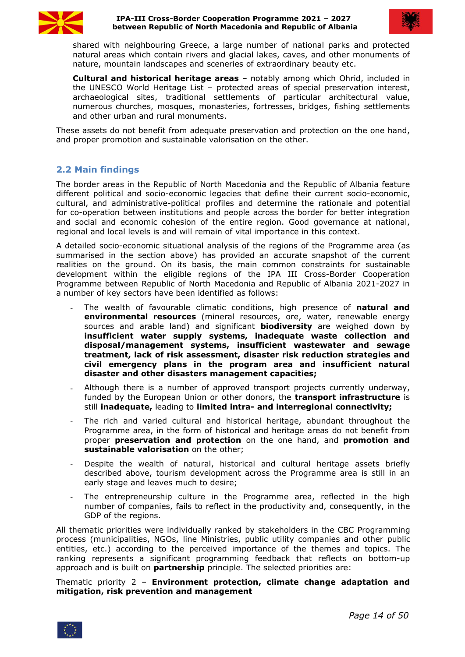



shared with neighbouring Greece, a large number of national parks and protected natural areas which contain rivers and glacial lakes, caves, and other monuments of nature, mountain landscapes and sceneries of extraordinary beauty etc.

 **Cultural and historical heritage areas** – notably among which Ohrid, included in the UNESCO World Heritage List – protected areas of special preservation interest, archaeological sites, traditional settlements of particular architectural value, numerous churches, mosques, monasteries, fortresses, bridges, fishing settlements and other urban and rural monuments.

These assets do not benefit from adequate preservation and protection on the one hand, and proper promotion and sustainable valorisation on the other.

# <span id="page-13-0"></span>**2.2 Main findings**

The border areas in the Republic of North Macedonia and the Republic of Albania feature different political and socio-economic legacies that define their current socio-economic, cultural, and administrative-political profiles and determine the rationale and potential for co-operation between institutions and people across the border for better integration and social and economic cohesion of the entire region. Good governance at national, regional and local levels is and will remain of vital importance in thiscontext.

A detailed socio-economic situational analysis of the regions of the Programme area (as summarised in the section above) has provided an accurate snapshot of the current realities on the ground. On its basis, the main common constraints for sustainable development within the eligible regions of the IPA III Cross-Border Cooperation Programme between Republic of North Macedonia and Republic of Albania 2021-2027 in a number of key sectors have been identified as follows:

- The wealth of favourable climatic conditions, high presence of **natural and environmental resources** (mineral resources, ore, water, renewable energy sources and arable land) and significant **biodiversity** are weighed down by **insufficient water supply systems, inadequate waste collection and disposal/management systems, insufficient wastewater and sewage treatment, lack of risk assessment, disaster risk reduction strategies and civil emergency plans in the program area and insufficient natural disaster and other disasters management capacities;**
- Although there is a number of approved transport projects currently underway, funded by the European Union or other donors, the **transport infrastructure** is still **inadequate,** leading to **limited intra- and interregional connectivity;**
- The rich and varied cultural and historical heritage, abundant throughout the Programme area, in the form of historical and heritage areas do not benefit from proper **preservation and protection** on the one hand, and **promotion and sustainable valorisation** on the other;
- Despite the wealth of natural, historical and cultural heritage assets briefly described above, tourism development across the Programme area is still in an early stage and leaves much to desire;
- The entrepreneurship culture in the Programme area, reflected in the high number of companies, fails to reflect in the productivity and, consequently, in the GDP of the regions.<br>All thematic priorities were individually ranked by stakeholders in the CBC Programming

process (municipalities, NGOs, line Ministries, public utility companies and other public entities, etc.) according to the perceived importance of the themes and topics. The ranking represents a significant programming feedback that reflects on bottom-up approach and is built on **partnership** principle. The selected priorities are:

Thematic priority 2 – **Environment protection, climate change adaptation and mitigation, risk prevention and management**

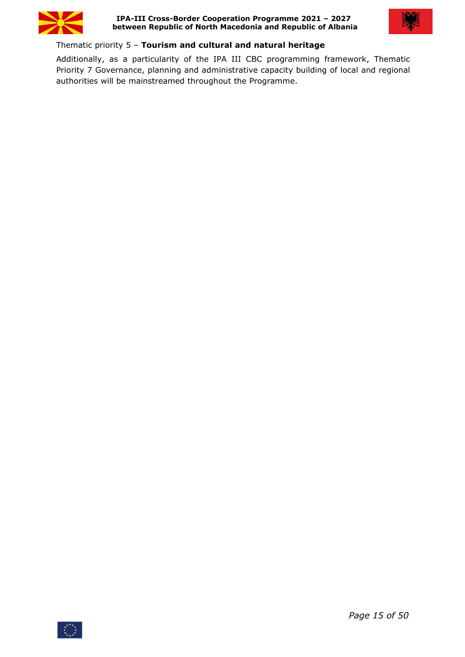



# Thematic priority 5 – **Tourism and cultural and natural heritage**

Additionally, as a particularity of the IPA III CBC programming framework, Thematic Priority 7 Governance, planning and administrative capacity building of local and regional authorities will be mainstreamed throughout the Programme.

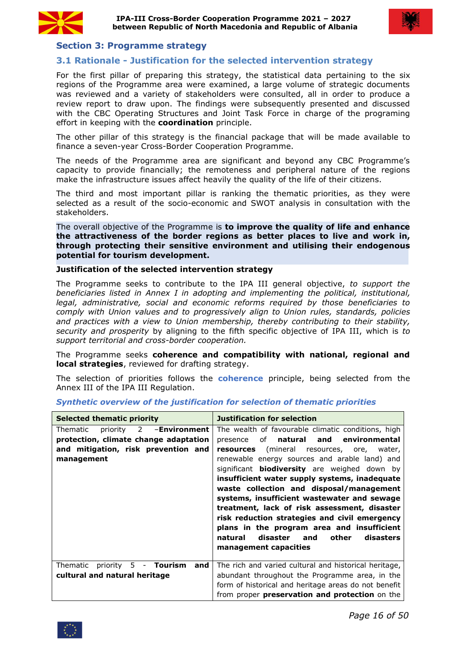



# <span id="page-15-0"></span>**Section 3: Programme strategy**

# <span id="page-15-1"></span>**3.1 Rationale - Justification for the selected intervention strategy**

For the first pillar of preparing this strategy, the statistical data pertaining to the six regions of the Programme area were examined, a large volume of strategic documents was reviewed and a variety of stakeholders were consulted, all in order to produce a review report to draw upon. The findings were subsequently presented and discussed with the CBC Operating Structures and Joint Task Force in charge of the programing effort in keeping with the **coordination** principle.

The other pillar of this strategy is the financial package that will be made available to finance a seven-year Cross-Border Cooperation Programme.

The needs of the Programme area are significant and beyond any CBC Programme's capacity to provide financially; the remoteness and peripheral nature of the regions make the infrastructure issues affect heavily the quality of the life of their citizens.

The third and most important pillar is ranking the thematic priorities, as they were selected as a result of the socio-economic and SWOT analysis in consultation with the stakeholders.

The overall objective of the Programme is **to improve the quality of life and enhance the attractiveness of the border regions as better places to live and work in, through protecting their sensitive environment and utilising their endogenous potential for tourism development.**

#### **Justification of the selected intervention strategy**

The Programme seeks to contribute to the IPA III general objective, *to support the beneficiaries listed in Annex I in adopting and implementing the political, institutional, legal, administrative, social and economic reforms required by those beneficiaries to comply with Union values and to progressively align to Union rules, standards, policies and practices with a view to Union membership, thereby contributing to their stability, security and prosperity* by aligning to the fifth specific objective of IPA III, which is *to support territorial and cross-border cooperation.*

The Programme seeks **coherence and compatibility with national, regional and**

**local strategies**, reviewed for drafting strategy.<br>The selection of priorities follows the **coherence** principle, being selected from the Annex III of the IPA III Regulation.

| <b>Selected thematic priority</b>                 | <b>Justification for selection</b>                                                                                                                                                                                                                                                                                                                                                                                                                                                                                                  |
|---------------------------------------------------|-------------------------------------------------------------------------------------------------------------------------------------------------------------------------------------------------------------------------------------------------------------------------------------------------------------------------------------------------------------------------------------------------------------------------------------------------------------------------------------------------------------------------------------|
| Thematic<br>priority 2<br>-Environment            | The wealth of favourable climatic conditions, high                                                                                                                                                                                                                                                                                                                                                                                                                                                                                  |
| protection, climate change adaptation             | presence of <b>natural</b> and<br>environmental                                                                                                                                                                                                                                                                                                                                                                                                                                                                                     |
| and mitigation, risk prevention and<br>management | <b>resources</b> (mineral resources, ore,<br>water,<br>renewable energy sources and arable land) and<br>significant <b>biodiversity</b> are weighed down by<br>insufficient water supply systems, inadequate<br>waste collection and disposal/management<br>systems, insufficient wastewater and sewage<br>treatment, lack of risk assessment, disaster<br>risk reduction strategies and civil emergency<br>plans in the program area and insufficient<br>disaster<br>natural<br>and<br>other<br>disasters<br>management capacities |
| Thematic priority 5 - Tourism<br>and              | The rich and varied cultural and historical heritage,                                                                                                                                                                                                                                                                                                                                                                                                                                                                               |
| cultural and natural heritage                     | abundant throughout the Programme area, in the                                                                                                                                                                                                                                                                                                                                                                                                                                                                                      |
|                                                   | form of historical and heritage areas do not benefit                                                                                                                                                                                                                                                                                                                                                                                                                                                                                |
|                                                   | from proper <b>preservation and protection</b> on the                                                                                                                                                                                                                                                                                                                                                                                                                                                                               |

#### *Synthetic overview of the justification for selection of thematic priorities*

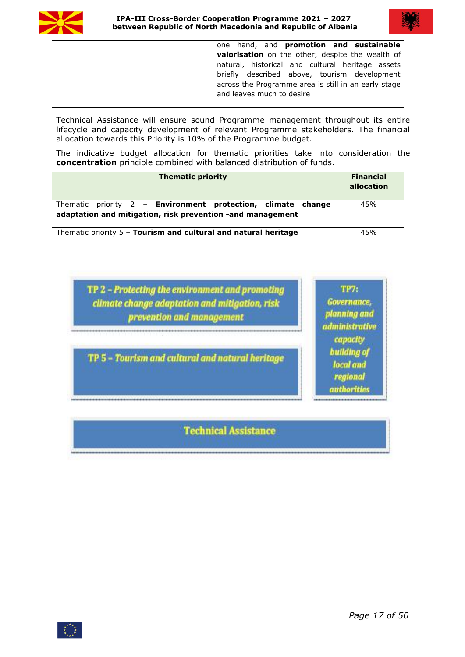



one hand, and **promotion and sustainable valorisation** on the other; despite the wealth of natural, historical and cultural heritage assets briefly described above, tourism development across the Programme area is still in an early stage and leaves much to desire

Technical Assistance will ensure sound Programme management throughout its entire lifecycle and capacity development of relevant Programme stakeholders. The financial allocation towards this Priority is 10% of the Programme budget.

The indicative budget allocation for thematic priorities take into consideration the **concentration** principle combined with balanced distribution of funds.

| <b>Thematic priority</b>                                                                                                          | <b>Financial</b><br>allocation |
|-----------------------------------------------------------------------------------------------------------------------------------|--------------------------------|
| Thematic priority 2 - <b>Environment protection, climate change</b><br>adaptation and mitigation, risk prevention -and management | 45%                            |
| Thematic priority 5 - Tourism and cultural and natural heritage                                                                   | 45%                            |

| TP 2 - Protecting the environment and promoting |
|-------------------------------------------------|
| climate change adaptation and mitigation, risk  |
| prevention and management                       |

TP 5 - Tourism and cultural and natural heritage

**TP7:** Governance, planning and administrative capacity building of local and regional authorities

**Technical Assistance** 

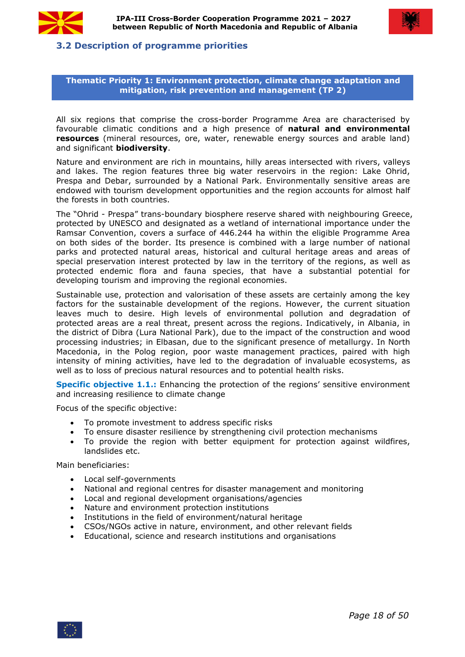



## <span id="page-17-0"></span>**3.2 Description of programme priorities**

#### **Thematic Priority 1: Environment protection, climate change adaptation and mitigation, risk prevention and management (TP 2)**

All six regions that comprise the cross-border Programme Area are characterised by favourable climatic conditions and a high presence of **natural and environmental resources** (mineral resources, ore, water, renewable energy sources and arable land) and significant **biodiversity**.

Nature and environment are rich in mountains, hilly areas intersected with rivers, valleys and lakes. The region features three big water reservoirs in the region: Lake Ohrid, Prespa and Debar, surrounded by a National Park. Environmentally sensitive areas are endowed with tourism development opportunities and the region accounts foralmost half the forests in both countries.

The "Ohrid - Prespa" trans-boundary biosphere reserve shared with neighbouring Greece, protected by UNESCO and designated as a wetland of international importance under the Ramsar Convention, covers a surface of 446.244 ha within the eligible Programme Area on both sides of the border. Its presence is combined with a large number of national parks and protected natural areas, historical and cultural heritage areas and areas of special preservation interest protected by law in the territory of the regions, as well as protected endemic flora and fauna species, that have a substantial potential for developing tourism and improving the regional economies.

Sustainable use, protection and valorisation of these assets are certainly among the key factors for the sustainable development of the regions. However, the current situation leaves much to desire. High levels of environmental pollution and degradation of protected areas are a real threat, present across the regions. Indicatively, in Albania, in the district of Dibra (Lura National Park), due to the impact of the construction and wood processing industries; in Elbasan, due to the significant presence of metallurgy. In North Macedonia, in the Polog region, poor waste management practices, paired with high intensity of mining activities, have led to the degradation of invaluable ecosystems, as well as to loss of precious natural resources and to potential health risks.

**Specific objective 1.1.:** Enhancing the protection of the regions' sensitive environment and increasing resilience to climate change

Focus of the specific objective:

- To promote investment to address specific risks
- To ensure disaster resilience by strengthening civil protection mechanisms
- To provide the region with better equipment for protection against wildfires, landslides etc.

Main beneficiaries:

- Local self-governments
- National and regional centres for disaster management and monitoring
- Local and regional development organisations/agencies
- Nature and environment protection institutions
- Institutions in the field of environment/natural heritage
- CSOs/NGOs active in nature, environment, and other relevant fields
- Educational, science and research institutions and organisations

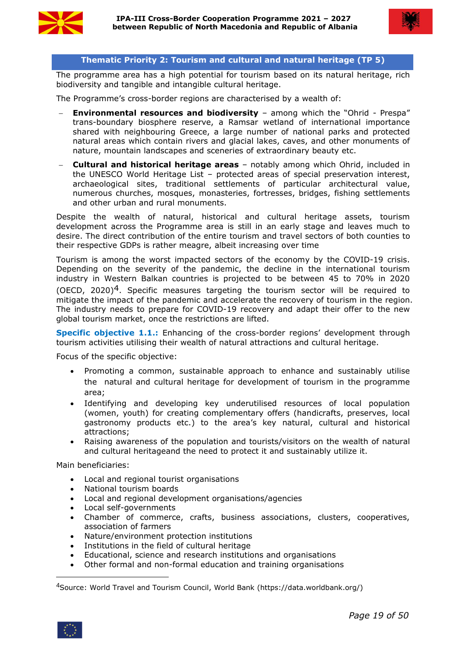



#### **Thematic Priority 2: Tourism and cultural and natural heritage (TP 5)**

The programme area has a high potential for tourism based on its natural heritage, rich biodiversity and tangible and intangible cultural heritage.

The Programme's cross-border regions are characterised by a wealth of:

- **Environmental resources and biodiversity** among which the "Ohrid Prespa" trans-boundary biosphere reserve, a Ramsar wetland of international importance shared with neighbouring Greece, a large number of national parks and protected natural areas which contain rivers and glacial lakes, caves, and other monuments of nature, mountain landscapes and sceneries of extraordinary beauty etc.
- **Cultural and historical heritage areas** notably among which Ohrid, included in the UNESCO World Heritage List – protected areas of special preservation interest, archaeological sites, traditional settlements of particular architectural value, numerous churches, mosques, monasteries, fortresses, bridges, fishing settlements and other urban and rural monuments.

Despite the wealth of natural, historical and cultural heritage assets, tourism development across the Programme area is still in an early stage and leaves much to desire. The direct contribution of the entire tourism and travel sectors of both counties to their respective GDPs is rather meagre, albeit increasing over time

Tourism is among the worst impacted sectors of the economy by the COVID-19 crisis. Depending on the severity of the pandemic, the decline in the international tourism industry in Western Balkan countries is projected to be between 45 to 70% in 2020 (OECD, 2020)<sup>[4](#page-18-0)</sup>. Specific measures targeting the tourism sector will be required to mitigate the impact of the pandemic and accelerate the recovery of tourism in the region. The industry needs to prepare for COVID-19 recovery and adapt their offer to the new global tourism market, once the restrictions are lifted.

**Specific objective 1.1.:** Enhancing of the cross-border regions' development through tourism activities utilising their wealth of natural attractions and cultural heritage.

Focus of the specific objective:

- Promoting a common, sustainable approach to enhance and sustainably utilise the natural and cultural heritage for development of tourism in the programme area;
- Identifying and developing key underutilised resources of local population (women, youth) for creating complementary offers (handicrafts, preserves, local gastronomy products etc.) to the area's key natural, cultural and historical attractions;
- Raising awareness of the population and tourists/visitors on the wealth of natural and cultural heritageand the need to protect it and sustainably utilize it.

Main beneficiaries:

- Local and regional tourist organisations
- National tourism boards
- Local and regional development organisations/agencies
- Local self-governments
- Chamber of commerce, crafts, business associations, clusters, cooperatives, association of farmers
- Nature/environment protection institutions
- Institutions in the field of cultural heritage
- Educational, science and research institutions and organisations
- Other formal and non-formal education and training organisations

<span id="page-18-0"></span><sup>4</sup>Source: World Travel and Tourism Council, World Bank (https://data.worldbank.org/)

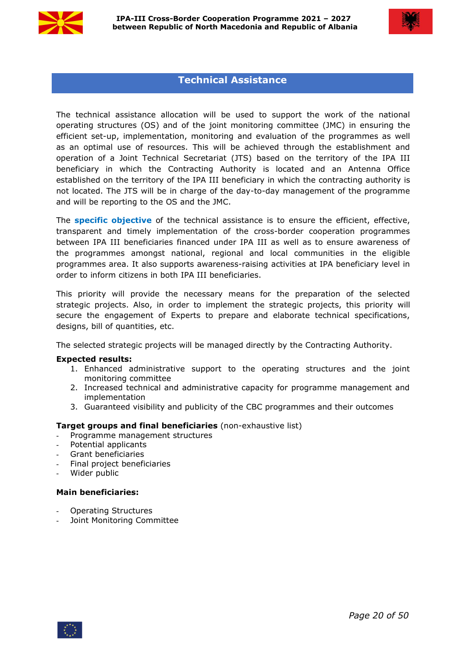



# **Technical Assistance**

The technical assistance allocation will be used to support the work of the national operating structures (OS) and of the joint monitoring committee (JMC) in ensuring the efficient set-up, implementation, monitoring and evaluation of the programmes as well as an optimal use of resources. This will be achieved through the establishment and operation of a Joint Technical Secretariat (JTS) based on the territory of the IPA III beneficiary in which the Contracting Authority is located and an Antenna Office established on the territory of the IPA III beneficiary in which the contracting authority is not located. The JTS will be in charge of the day-to-day management of the programme and will be reporting to the OS and the JMC.

The **specific objective** of the technical assistance is to ensure the efficient, effective, transparent and timely implementation of the cross-border cooperation programmes between IPA III beneficiaries financed under IPA III as well as to ensure awareness of the programmes amongst national, regional and local communities in the eligible programmes area.It also supports awareness-raising activities at IPA beneficiary level in order to inform citizens in both IPA III beneficiaries.

This priority will provide the necessary means for the preparation of the selected strategic projects. Also, in order to implement the strategic projects, this priority will secure the engagement of Experts to prepare and elaborate technical specifications, designs, bill of quantities, etc.

The selected strategic projects will be managed directly by the Contracting Authority.

#### **Expected results:**

- 1. Enhanced administrative support to the operating structures and the joint monitoring committee
- 2. Increased technical and administrative capacity for programme management and implementation
- 3. Guaranteed visibility and publicity of the CBC programmes and their outcomes

#### **Target groups and final beneficiaries** (non-exhaustive list)

- Programme management structures
- Potential applicants
- Grant beneficiaries
- Final project beneficiaries
- Wider public

#### **Main beneficiaries:**

- Operating Structures
- Joint Monitoring Committee

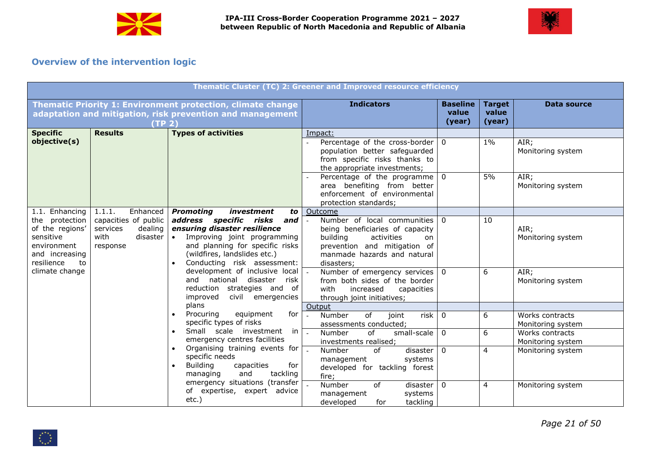



# **Overview of the intervention logic**

<span id="page-20-0"></span>

| Thematic Cluster (TC) 2: Greener and Improved resource efficiency                                                     |                                                                                                     |                                                                                                                                                                                                                                        |                                                                                                                                                                                                                |                                    |                                  |                                      |  |  |
|-----------------------------------------------------------------------------------------------------------------------|-----------------------------------------------------------------------------------------------------|----------------------------------------------------------------------------------------------------------------------------------------------------------------------------------------------------------------------------------------|----------------------------------------------------------------------------------------------------------------------------------------------------------------------------------------------------------------|------------------------------------|----------------------------------|--------------------------------------|--|--|
|                                                                                                                       | (TP <sub>2</sub> )                                                                                  | Thematic Priority 1: Environment protection, climate change<br>adaptation and mitigation, risk prevention and management                                                                                                               | <b>Indicators</b>                                                                                                                                                                                              | <b>Baseline</b><br>value<br>(year) | <b>Target</b><br>value<br>(year) | Data source                          |  |  |
| <b>Specific</b><br>objective(s)                                                                                       | <b>Results</b>                                                                                      | <b>Types of activities</b>                                                                                                                                                                                                             | Impact:<br>Percentage of the cross-border $\vert 0 \rangle$<br>population better safeguarded<br>from specific risks thanks to<br>the appropriate investments;<br>Percentage of the programme $\vert 0 \rangle$ |                                    | $1\%$<br>5%                      | AIR;<br>Monitoring system<br>AIR;    |  |  |
|                                                                                                                       |                                                                                                     |                                                                                                                                                                                                                                        | area benefiting from better<br>enforcement of environmental<br>protection standards;                                                                                                                           |                                    |                                  | Monitoring system                    |  |  |
| 1.1. Enhancing<br>the protection<br>of the regions'<br>sensitive<br>environment<br>and increasing<br>resilience<br>to | Enhanced  <br>1.1.1.<br>capacities of public<br>services<br>dealing<br>with<br>disaster<br>response | <b>Promoting</b><br>investment<br>address specific risks<br>and $ $<br>ensuring disaster resilience<br>• Improving joint programming<br>and planning for specific risks<br>(wildfires, landslides etc.)<br>Conducting risk assessment: | to Outcome<br>Number of local communities 0<br>being beneficiaries of capacity<br>building<br>activities<br>on<br>prevention and mitigation of<br>manmade hazards and natural<br>disasters;                    |                                    | 10                               | AIR;<br>Monitoring system            |  |  |
| climate change                                                                                                        |                                                                                                     | development of inclusive local<br>and national disaster risk<br>reduction strategies and of<br>improved<br>civil emergencies                                                                                                           | Number of emergency services $\vert 0 \rangle$<br>from both sides of the border<br>with<br>increased<br>capacities<br>through joint initiatives;                                                               |                                    | 6                                | AIR;<br>Monitoring system            |  |  |
|                                                                                                                       |                                                                                                     | plans<br>equipment<br>for $\vert$<br>Procuring                                                                                                                                                                                         | Output<br>of<br>risk $\vert 0$<br>Number<br>joint                                                                                                                                                              |                                    | 6                                | Works contracts                      |  |  |
|                                                                                                                       |                                                                                                     | specific types of risks                                                                                                                                                                                                                | assessments conducted;                                                                                                                                                                                         |                                    |                                  | Monitoring system                    |  |  |
|                                                                                                                       |                                                                                                     | Small scale investment<br>in $\boxed{\phantom{1}}$<br>emergency centres facilities                                                                                                                                                     | of<br>small-scale $\vert 0 \vert$<br>Number<br>investments realised;                                                                                                                                           |                                    | 6                                | Works contracts<br>Monitoring system |  |  |
|                                                                                                                       |                                                                                                     | Organising training events for<br>specific needs<br><b>Building</b><br>capacities<br>for<br>and<br>tackling<br>managing                                                                                                                | disaster $\vert 0 \vert$<br>Number<br>of<br>management<br>systems<br>developed for tackling forest<br>fire;                                                                                                    |                                    | 4                                | Monitoring system                    |  |  |
|                                                                                                                       |                                                                                                     | emergency situations (transfer<br>of expertise,<br>expert advice<br>etc.)                                                                                                                                                              | of<br>Number<br>disaster<br>management<br>systems<br>tackling<br>for<br>developed                                                                                                                              | $\Omega$                           | 4                                | Monitoring system                    |  |  |

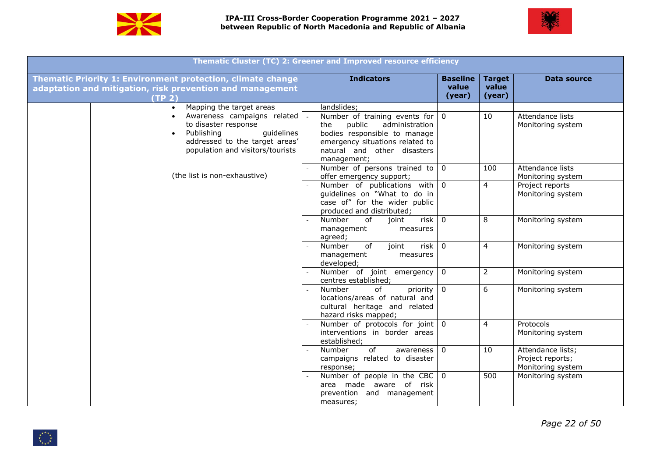



|                                                                                                                                                       | Thematic Cluster (TC) 2: Greener and Improved resource efficiency                                                                                                                        |                                    |                                  |                                                            |
|-------------------------------------------------------------------------------------------------------------------------------------------------------|------------------------------------------------------------------------------------------------------------------------------------------------------------------------------------------|------------------------------------|----------------------------------|------------------------------------------------------------|
| Thematic Priority 1: Environment protection, climate change<br>adaptation and mitigation, risk prevention and management<br>(TP <sub>2</sub> )        | <b>Indicators</b>                                                                                                                                                                        | <b>Baseline</b><br>value<br>(year) | <b>Target</b><br>value<br>(year) | Data source                                                |
| Mapping the target areas<br>$\bullet$                                                                                                                 | landslides;                                                                                                                                                                              |                                    |                                  |                                                            |
| Awareness campaigns related<br>to disaster response<br>quidelines<br>Publishing<br>addressed to the target areas'<br>population and visitors/tourists | Number of training events for $\vert$ 0<br>the public<br>administration<br>bodies responsible to manage<br>emergency situations related to<br>natural and other disasters<br>management; |                                    | 10                               | Attendance lists<br>Monitoring system                      |
| (the list is non-exhaustive)                                                                                                                          | Number of persons trained to $\vert 0 \vert$                                                                                                                                             |                                    | 100                              | Attendance lists                                           |
|                                                                                                                                                       | offer emergency support;<br>Number of publications with 0<br>guidelines on "What to do in<br>case of" for the wider public<br>produced and distributed;                                  |                                    | $\overline{4}$                   | Monitoring system<br>Project reports<br>Monitoring system  |
|                                                                                                                                                       | $risk \mid 0$<br>Number<br>of<br>joint<br>management<br>measures<br>agreed;                                                                                                              |                                    | 8                                | Monitoring system                                          |
|                                                                                                                                                       | of<br>risk $\vert 0$<br>Number<br>joint<br>management<br>measures<br>developed;                                                                                                          |                                    | 4                                | Monitoring system                                          |
|                                                                                                                                                       | Number of joint emergency $\vert 0 \rangle$<br>centres established;                                                                                                                      |                                    | $\overline{2}$                   | Monitoring system                                          |
|                                                                                                                                                       | priority $\boxed{0}$<br>of<br>Number<br>locations/areas of natural and<br>cultural heritage and related<br>hazard risks mapped;                                                          |                                    | 6                                | Monitoring system                                          |
|                                                                                                                                                       | Number of protocols for joint $\boxed{0}$<br>interventions in border areas<br>established;                                                                                               |                                    | $\overline{4}$                   | Protocols<br>Monitoring system                             |
|                                                                                                                                                       | of<br>awareness $\vert 0 \rangle$<br>Number<br>campaigns related to disaster<br>response;                                                                                                |                                    | 10                               | Attendance lists;<br>Project reports;<br>Monitoring system |
|                                                                                                                                                       | Number of people in the CBC $\vert$ 0<br>area made aware of risk<br>prevention and management<br>measures;                                                                               |                                    | 500                              | Monitoring system                                          |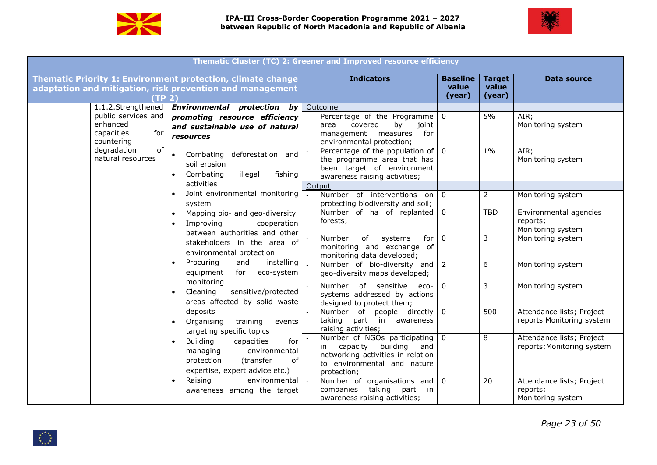



|                                                                    |                                                                                                                                       | Thematic Cluster (TC) 2: Greener and Improved resource efficiency                                                                                             |                                    |                                  |                                                            |
|--------------------------------------------------------------------|---------------------------------------------------------------------------------------------------------------------------------------|---------------------------------------------------------------------------------------------------------------------------------------------------------------|------------------------------------|----------------------------------|------------------------------------------------------------|
| (TP <sub>2</sub> )                                                 | Thematic Priority 1: Environment protection, climate change<br>adaptation and mitigation, risk prevention and management              | <b>Indicators</b>                                                                                                                                             | <b>Baseline</b><br>value<br>(year) | <b>Target</b><br>value<br>(year) | <b>Data source</b>                                         |
| public services and<br>enhanced<br>capacities<br>for<br>countering | 1.1.2.Strengthened <b>Environmental protection by</b><br>promoting resource efficiency<br>and sustainable use of natural<br>resources | Outcome<br>Percentage of the Programme $\vert 0 \rangle$<br>covered<br>by joint<br>area<br>management measures for<br>environmental protection;               |                                    | 5%                               | AIR;<br>Monitoring system                                  |
| degradation<br>of<br>natural resources                             | Combating deforestation and<br>soil erosion<br>fishing<br>Combating<br>illegal<br>activities                                          | Percentage of the population of $\vert 0 \rangle$<br>the programme area that has<br>been target of environment<br>awareness raising activities;               |                                    | $1\%$                            | AIR;<br>Monitoring system                                  |
|                                                                    | Joint environmental monitoring<br>system                                                                                              | Output<br>Number of interventions on $\vert$ 0<br>protecting biodiversity and soil;                                                                           |                                    | $\overline{2}$                   | Monitoring system                                          |
|                                                                    | Mapping bio- and geo-diversity<br>Improving<br>cooperation<br>between authorities and other                                           | Number of ha of replanted $\vert 0 \rangle$<br>forests;                                                                                                       |                                    | <b>TBD</b>                       | Environmental agencies<br>reports;<br>Monitoring system    |
|                                                                    | stakeholders in the area of<br>environmental protection                                                                               | Number<br>systems<br>for $\vert 0 \vert$<br>of<br>monitoring and exchange of<br>monitoring data developed;                                                    |                                    | 3                                | Monitoring system                                          |
|                                                                    | installing<br>Procuring<br>and<br>for eco-system<br>equipment                                                                         | Number of bio-diversity and $2$<br>geo-diversity maps developed;                                                                                              |                                    | 6                                | Monitoring system                                          |
|                                                                    | monitoring<br>sensitive/protected<br>Cleaning<br>$\bullet$<br>areas affected by solid waste                                           | Number of sensitive eco- 0<br>systems addressed by actions<br>designed to protect them;                                                                       |                                    | 3                                | Monitoring system                                          |
|                                                                    | deposits<br>training<br>Organising<br>events<br>targeting specific topics                                                             | Number of people directly $\vert 0 \rangle$<br>taking part in awareness<br>raising activities;                                                                |                                    | 500                              | Attendance lists; Project<br>reports Monitoring system     |
|                                                                    | <b>Building</b><br>for<br>capacities<br>environmental<br>managing<br>protection<br>(transfer<br>of<br>expertise, expert advice etc.)  | Number of NGOs participating $\vert 0 \rangle$<br>in capacity building and<br>networking activities in relation<br>to environmental and nature<br>protection; |                                    | 8                                | Attendance lists; Project<br>reports; Monitoring system    |
|                                                                    | Raising<br>environmental<br>awareness among the target                                                                                | Number of organisations and $\boxed{0}$<br>companies taking part in<br>awareness raising activities;                                                          |                                    | 20                               | Attendance lists; Project<br>reports;<br>Monitoring system |

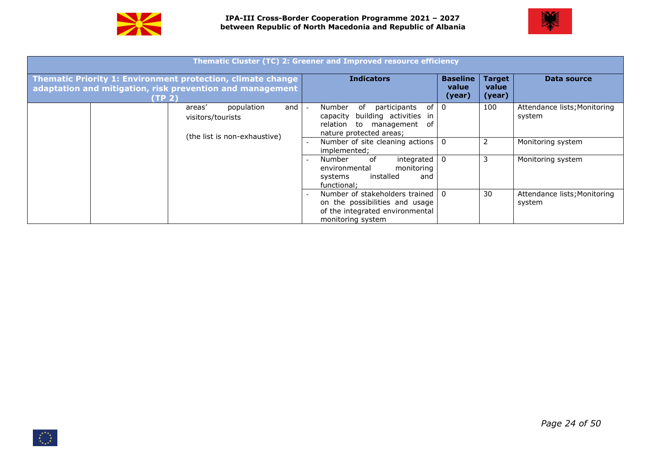



|                                                                                                                                                |                                                                           |               | Thematic Cluster (TC) 2: Greener and Improved resource efficiency                                                                                                                            |                                    |                                  |                                        |
|------------------------------------------------------------------------------------------------------------------------------------------------|---------------------------------------------------------------------------|---------------|----------------------------------------------------------------------------------------------------------------------------------------------------------------------------------------------|------------------------------------|----------------------------------|----------------------------------------|
| Thematic Priority 1: Environment protection, climate change<br>adaptation and mitigation, risk prevention and management<br>(TP <sub>2</sub> ) |                                                                           |               | <b>Indicators</b>                                                                                                                                                                            | <b>Baseline</b><br>value<br>(year) | <b>Target</b><br>value<br>(year) | Data source                            |
|                                                                                                                                                | population<br>areas'<br>visitors/tourists<br>(the list is non-exhaustive) | and $\vert$ - | participants<br>of I 0<br>Number<br>of<br>capacity building activities in<br>relation to management of<br>nature protected areas;                                                            |                                    | 100                              | Attendance lists; Monitoring<br>system |
|                                                                                                                                                |                                                                           |               | Number of site cleaning actions $\vert 0 \rangle$<br>implemented;<br>integrated $\vert 0 \vert$<br>0f<br>Number<br>monitoring<br>environmental<br>installed<br>systems<br>and<br>functional: |                                    |                                  | Monitoring system<br>Monitoring system |
|                                                                                                                                                |                                                                           |               | Number of stakeholders trained   0<br>on the possibilities and usage<br>of the integrated environmental<br>monitoring system                                                                 |                                    | 30                               | Attendance lists; Monitoring<br>system |

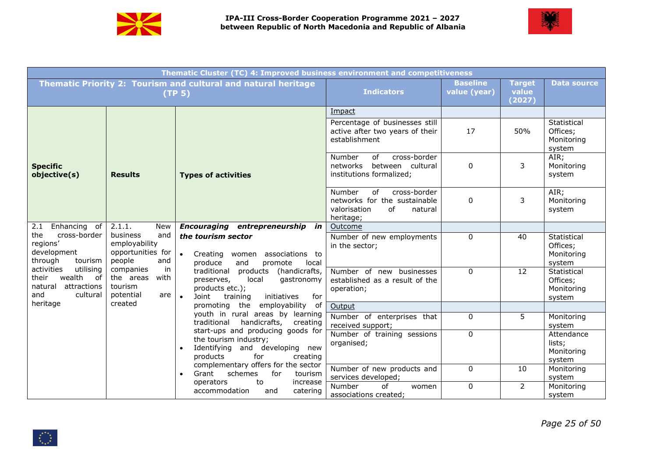



|                                                                                               |                                                                        | Thematic Cluster (TC) 4: Improved business environment and competitiveness                                                                         |                                                                                                            |                                 |                                  |                                                 |
|-----------------------------------------------------------------------------------------------|------------------------------------------------------------------------|----------------------------------------------------------------------------------------------------------------------------------------------------|------------------------------------------------------------------------------------------------------------|---------------------------------|----------------------------------|-------------------------------------------------|
|                                                                                               |                                                                        | Thematic Priority 2: Tourism and cultural and natural heritage<br>(TP <sub>5</sub> )                                                               | <b>Indicators</b>                                                                                          | <b>Baseline</b><br>value (year) | <b>Target</b><br>value<br>(2027) | <b>Data source</b>                              |
|                                                                                               |                                                                        |                                                                                                                                                    | Impact                                                                                                     |                                 |                                  |                                                 |
|                                                                                               |                                                                        |                                                                                                                                                    | Percentage of businesses still<br>active after two years of their<br>establishment                         | 17                              | 50%                              | Statistical<br>Offices;<br>Monitoring<br>system |
| <b>Specific</b><br>objective(s)                                                               | <b>Results</b>                                                         | <b>Types of activities</b>                                                                                                                         | cross-border<br>Number<br>of<br>networks between cultural<br>institutions formalized;                      | 0                               | 3                                | AIR;<br>Monitoring<br>system                    |
|                                                                                               |                                                                        |                                                                                                                                                    | Number<br>cross-border<br>of<br>networks for the sustainable<br>valorisation<br>of<br>natural<br>heritage; | $\mathbf 0$                     | 3                                | AIR;<br>Monitoring<br>system                    |
| Enhancing of<br>2.1                                                                           | 2.1.1.<br>New                                                          | Encouraging entrepreneurship in                                                                                                                    | Outcome                                                                                                    |                                 |                                  |                                                 |
| cross-border<br>the<br>regions <sup>®</sup><br>development<br>through<br>tourism              | business<br>and<br>employability<br>opportunities for<br>people<br>and | the tourism sector<br>Creating women associations to<br>produce<br>and<br>promote<br>local                                                         | Number of new employments<br>in the sector;                                                                | 0                               | 40                               | Statistical<br>Offices;<br>Monitoring<br>system |
| activities<br>utilising<br>wealth<br>their<br>of<br>attractions<br>natural<br>and<br>cultural | in<br>companies<br>the areas<br>with<br>tourism<br>potential<br>are    | traditional products (handicrafts,<br>local<br>gastronomy<br>preserves,<br>products etc.);<br>initiatives<br>for<br>$\bullet$<br>Joint<br>training | Number of new businesses<br>established as a result of the<br>operation;                                   | $\mathbf 0$                     | 12                               | Statistical<br>Offices;<br>Monitoring<br>system |
| heritage                                                                                      | created                                                                | promoting the<br>employability of                                                                                                                  | Output                                                                                                     |                                 |                                  |                                                 |
|                                                                                               |                                                                        | youth in rural areas by learning<br>traditional<br>handicrafts, creating                                                                           | Number of enterprises that<br>received support;                                                            | $\mathbf 0$                     | 5                                | Monitoring<br>system                            |
|                                                                                               |                                                                        | start-ups and producing goods for<br>the tourism industry;<br>Identifying and developing new<br>for<br>products<br>creating                        | Number of training sessions<br>organised;                                                                  | 0                               |                                  | Attendance<br>lists;<br>Monitoring<br>system    |
|                                                                                               |                                                                        | complementary offers for the sector<br>schemes<br>for<br>Grant<br>tourism<br>operators<br>to<br>increase                                           | Number of new products and<br>services developed;                                                          | $\mathbf 0$                     | 10                               | Monitoring<br>system                            |
|                                                                                               |                                                                        | accommodation<br>and<br>catering                                                                                                                   | Number<br>of<br>women<br>associations created;                                                             | 0                               | $\overline{2}$                   | Monitoring<br>system                            |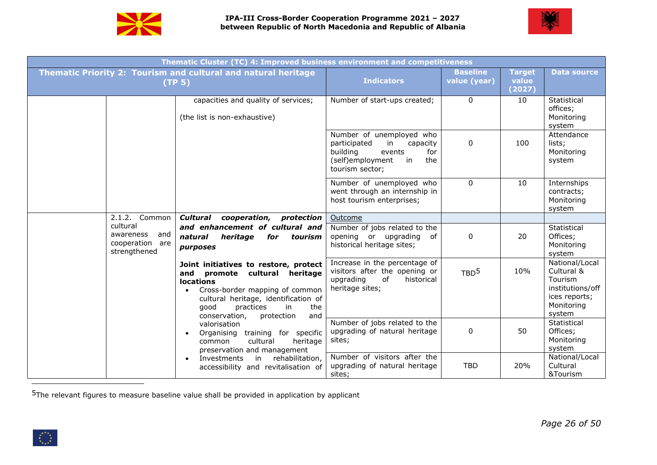



|                                                              | Thematic Cluster (TC) 4: Improved business environment and competitiveness                                                                                                                                                                   |                                                                                                                                             |                                 |                                  |                                                                                                      |
|--------------------------------------------------------------|----------------------------------------------------------------------------------------------------------------------------------------------------------------------------------------------------------------------------------------------|---------------------------------------------------------------------------------------------------------------------------------------------|---------------------------------|----------------------------------|------------------------------------------------------------------------------------------------------|
|                                                              | Thematic Priority 2: Tourism and cultural and natural heritage<br>(TP <sub>5</sub> )                                                                                                                                                         | <b>Indicators</b>                                                                                                                           | <b>Baseline</b><br>value (year) | <b>Target</b><br>value<br>(2027) | <b>Data source</b>                                                                                   |
|                                                              | capacities and quality of services;<br>(the list is non-exhaustive)                                                                                                                                                                          | Number of start-ups created;                                                                                                                | $\Omega$                        | 10                               | Statistical<br>offices;<br>Monitoring<br>system                                                      |
|                                                              |                                                                                                                                                                                                                                              | Number of unemployed who<br>participated<br>in<br>capacity<br>building<br>events<br>for<br>(self)employment<br>in<br>the<br>tourism sector; | 0                               | 100                              | Attendance<br>lists;<br>Monitoring<br>system                                                         |
|                                                              |                                                                                                                                                                                                                                              | Number of unemployed who<br>went through an internship in<br>host tourism enterprises;                                                      | $\mathbf 0$                     | 10                               | Internships<br>contracts;<br>Monitoring<br>system                                                    |
| 2.1.2. Common                                                | Cultural cooperation, protection                                                                                                                                                                                                             | Outcome                                                                                                                                     |                                 |                                  |                                                                                                      |
| cultural<br>awareness and<br>cooperation are<br>strengthened | and enhancement of cultural and<br>heritage<br>for tourism<br>natural<br><i>purposes</i>                                                                                                                                                     | Number of jobs related to the<br>opening or upgrading of<br>historical heritage sites;                                                      | 0                               | 20                               | Statistical<br>Offices;<br>Monitoring<br>system                                                      |
|                                                              | Joint initiatives to restore, protect<br>and promote cultural heritage<br><b>locations</b><br>Cross-border mapping of common<br>cultural heritage, identification of<br>qood<br>practices<br>the<br>in<br>conservation,<br>protection<br>and | Increase in the percentage of<br>visitors after the opening or<br>upgrading<br>of<br>historical<br>heritage sites;                          | TBD <sup>5</sup>                | 10%                              | National/Local<br>Cultural &<br>Tourism<br>institutions/off<br>ices reports;<br>Monitoring<br>system |
|                                                              | valorisation<br>Organising training for specific<br>cultural<br>heritage<br>common<br>preservation and management                                                                                                                            | Number of jobs related to the<br>upgrading of natural heritage<br>sites;                                                                    | 0                               | 50                               | Statistical<br>Offices;<br>Monitoring<br>system                                                      |
|                                                              | in rehabilitation,<br>Investments<br>$\bullet$<br>accessibility and revitalisation of                                                                                                                                                        | Number of visitors after the<br>upgrading of natural heritage<br>sites;                                                                     | <b>TBD</b>                      | 20%                              | National/Local<br>Cultural<br>&Tourism                                                               |

 $5$ The relevant figures to measure baseline value shall be provided in application by applicant

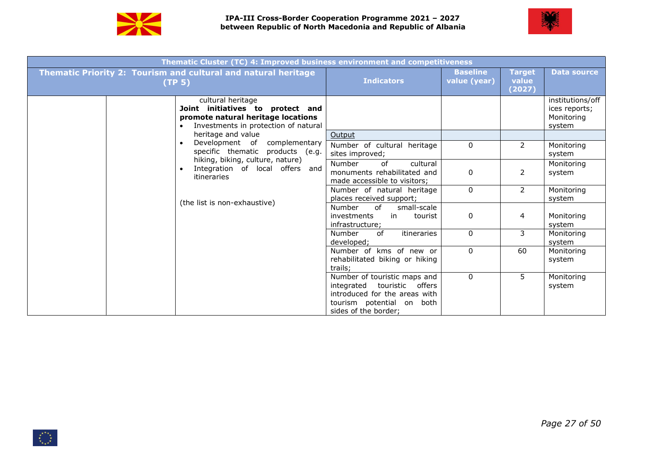



| Thematic Cluster (TC) 4: Improved business environment and competitiveness                                                          |                                                                                                                                                   |                                 |                                  |                                                           |
|-------------------------------------------------------------------------------------------------------------------------------------|---------------------------------------------------------------------------------------------------------------------------------------------------|---------------------------------|----------------------------------|-----------------------------------------------------------|
| <b>Thematic Priority 2: Tourism and cultural and natural heritage</b><br>(TP <sub>5</sub> )                                         | <b>Indicators</b>                                                                                                                                 | <b>Baseline</b><br>value (year) | <b>Target</b><br>value<br>(2027) | <b>Data source</b>                                        |
| cultural heritage<br>Joint initiatives to protect and<br>promote natural heritage locations<br>Investments in protection of natural |                                                                                                                                                   |                                 |                                  | institutions/off<br>ices reports;<br>Monitoring<br>system |
| heritage and value<br>Development of complementary<br>specific thematic products (e.g.                                              | Output<br>Number of cultural heritage<br>sites improved;                                                                                          | $\mathbf{0}$                    | $\overline{2}$                   | Monitoring<br>system                                      |
| hiking, biking, culture, nature)<br>Integration of local offers and<br>itineraries                                                  | Number<br>of<br>cultural<br>monuments rehabilitated and<br>made accessible to visitors;                                                           | $\mathbf{0}$                    | $\overline{2}$                   | Monitoring<br>system                                      |
| (the list is non-exhaustive)                                                                                                        | Number of natural heritage<br>places received support;                                                                                            | 0                               | $\overline{2}$                   | Monitoring<br>system                                      |
|                                                                                                                                     | of<br>small-scale<br>Number<br>investments<br>in<br>tourist<br>infrastructure;                                                                    | 0                               | 4                                | Monitoring<br>system                                      |
|                                                                                                                                     | of<br>itineraries<br>Number<br>developed;                                                                                                         | $\Omega$                        | 3                                | Monitoring<br>system                                      |
|                                                                                                                                     | Number of kms of new or<br>rehabilitated biking or hiking<br>trails;                                                                              | $\Omega$                        | 60                               | Monitoring<br>system                                      |
|                                                                                                                                     | Number of touristic maps and<br>integrated touristic offers<br>introduced for the areas with<br>tourism potential on both<br>sides of the border; | $\Omega$                        | 5                                | Monitoring<br>system                                      |

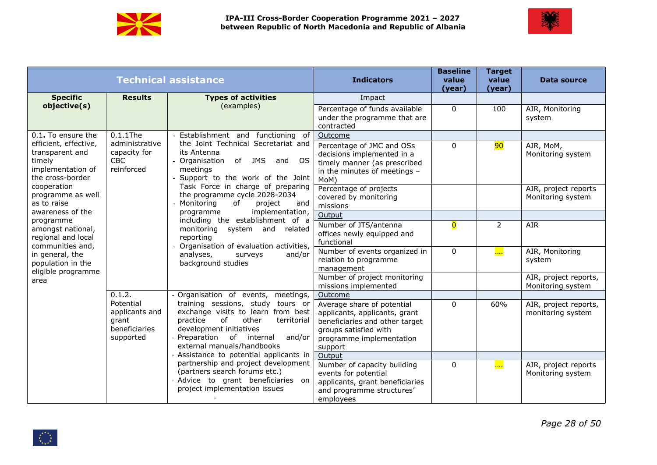



|                                                                                             |                                                                    | <b>Technical assistance</b>                                                                                                                                                                                     | <b>Indicators</b>                                                                                                                                             | <b>Baseline</b><br>value<br>(year) | <b>Target</b><br>value<br>(year) | <b>Data source</b>                         |
|---------------------------------------------------------------------------------------------|--------------------------------------------------------------------|-----------------------------------------------------------------------------------------------------------------------------------------------------------------------------------------------------------------|---------------------------------------------------------------------------------------------------------------------------------------------------------------|------------------------------------|----------------------------------|--------------------------------------------|
| <b>Specific</b>                                                                             | <b>Results</b>                                                     | <b>Types of activities</b>                                                                                                                                                                                      | Impact                                                                                                                                                        |                                    |                                  |                                            |
| objective(s)                                                                                |                                                                    | (examples)                                                                                                                                                                                                      | Percentage of funds available<br>under the programme that are<br>contracted                                                                                   | $\mathbf{0}$                       | 100                              | AIR, Monitoring<br>system                  |
| 0.1. To ensure the                                                                          | $0.1.1$ The                                                        | Establishment and functioning of                                                                                                                                                                                | Outcome                                                                                                                                                       |                                    |                                  |                                            |
| efficient, effective,<br>transparent and<br>timely<br>implementation of<br>the cross-border | administrative<br>capacity for<br><b>CBC</b><br>reinforced         | the Joint Technical Secretariat and<br>its Antenna<br>- Organisation of JMS and OS<br>meetings<br>Support to the work of the Joint                                                                              | Percentage of JMC and OSs<br>decisions implemented in a<br>timely manner (as prescribed<br>in the minutes of meetings -<br>MoM)                               | 0                                  | 90                               | AIR, MoM,<br>Monitoring system             |
| cooperation<br>programme as well<br>as to raise<br>awareness of the                         |                                                                    | Task Force in charge of preparing<br>the programme cycle 2028-2034<br>- Monitoring<br>0f<br>project<br>and<br>implementation,<br>programme                                                                      | Percentage of projects<br>covered by monitoring<br>missions                                                                                                   |                                    |                                  | AIR, project reports<br>Monitoring system  |
| programme                                                                                   |                                                                    | including the establishment of a                                                                                                                                                                                | Output                                                                                                                                                        |                                    |                                  |                                            |
| amongst national,<br>regional and local<br>communities and,                                 |                                                                    | monitoring system and related<br>reporting<br>- Organisation of evaluation activities,                                                                                                                          | Number of JTS/antenna<br>offices newly equipped and<br>functional                                                                                             | $\overline{\mathbf{0}}$            | $\overline{2}$                   | <b>AIR</b>                                 |
| in general, the<br>population in the<br>eligible programme                                  |                                                                    | analyses,<br>and/or<br>surveys<br>background studies                                                                                                                                                            | Number of events organized in<br>relation to programme<br>management                                                                                          | $\mathbf 0$                        | $\frac{1}{2}$                    | AIR, Monitoring<br>system                  |
| area                                                                                        |                                                                    |                                                                                                                                                                                                                 | Number of project monitoring<br>missions implemented                                                                                                          |                                    |                                  | AIR, project reports,<br>Monitoring system |
|                                                                                             | 0.1.2.                                                             | - Organisation of events, meetings,                                                                                                                                                                             | Outcome                                                                                                                                                       |                                    |                                  |                                            |
|                                                                                             | Potential<br>applicants and<br>grant<br>beneficiaries<br>supported | training sessions, study tours or<br>exchange visits to learn from best<br>of<br>practice<br>other<br>territorial<br>development initiatives<br>Preparation of internal<br>and/or<br>external manuals/handbooks | Average share of potential<br>applicants, applicants, grant<br>beneficiaries and other target<br>groups satisfied with<br>programme implementation<br>support | $\mathbf{0}$                       | 60%                              | AIR, project reports,<br>monitoring system |
|                                                                                             |                                                                    | - Assistance to potential applicants in $\vert$                                                                                                                                                                 | Output                                                                                                                                                        |                                    |                                  |                                            |
|                                                                                             |                                                                    | partnership and project development<br>(partners search forums etc.)<br>- Advice to grant beneficiaries on<br>project implementation issues                                                                     | Number of capacity building<br>events for potential<br>applicants, grant beneficiaries<br>and programme structures'<br>employees                              | 0                                  | $\frac{1}{2}$                    | AIR, project reports<br>Monitoring system  |

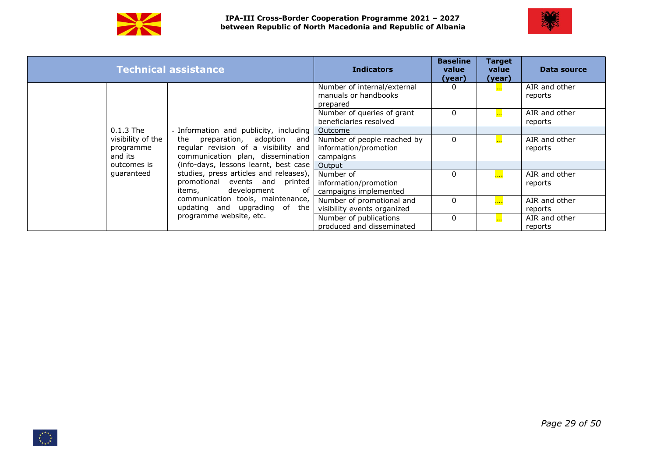



|             |                                | <b>Technical assistance</b>                                                                                | <b>Indicators</b>                                                 | <b>Baseline</b><br>value<br>(year) | <b>Target</b><br>value<br>(year) | Data source              |
|-------------|--------------------------------|------------------------------------------------------------------------------------------------------------|-------------------------------------------------------------------|------------------------------------|----------------------------------|--------------------------|
|             |                                |                                                                                                            | Number of internal/external<br>manuals or handbooks<br>prepared   |                                    | <b>Base</b>                      | AIR and other<br>reports |
|             |                                |                                                                                                            | Number of queries of grant<br>beneficiaries resolved              | $\Omega$                           | $\overline{\phantom{a}}$         | AIR and other<br>reports |
| $0.1.3$ The |                                | - Information and publicity, including                                                                     | Outcome                                                           |                                    |                                  |                          |
| and its     | visibility of the<br>programme | the preparation, adoption and<br>regular revision of a visibility and<br>communication plan, dissemination | Number of people reached by<br>information/promotion<br>campaigns | $\mathbf{0}$                       | $\mathbf{L}$                     | AIR and other<br>reports |
|             | outcomes is                    | (info-days, lessons learnt, best case                                                                      | Output                                                            |                                    |                                  |                          |
| quaranteed  |                                | studies, press articles and releases),<br>promotional events and printed<br>development<br>items,<br>of    | Number of<br>information/promotion<br>campaigns implemented       | $\Omega$                           | $\overline{\phantom{a}}$         | AIR and other<br>reports |
|             |                                | communication tools, maintenance,<br>updating and upgrading of the                                         | Number of promotional and<br>visibility events organized          | 0                                  | $\overline{\phantom{a}}$         | AIR and other<br>reports |
|             |                                | programme website, etc.                                                                                    | Number of publications<br>produced and disseminated               | $\Omega$                           | $\mathbf{L}$                     | AIR and other<br>reports |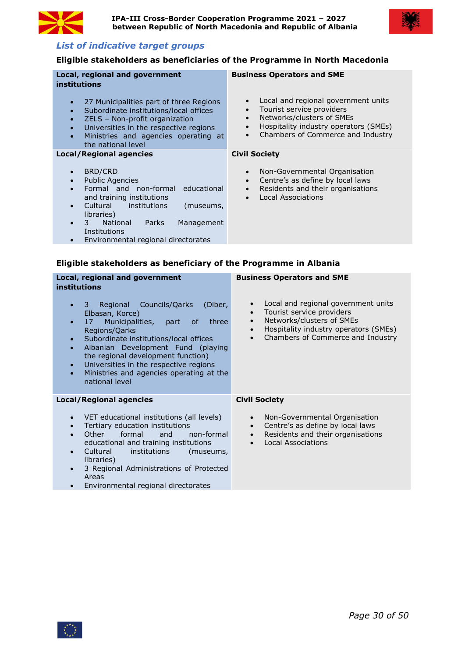



# *List of indicative target groups*

# **Eligible stakeholders as beneficiaries of the Programme in North Macedonia**

| Local, regional and government<br><b>institutions</b>                                                                                                                                                                                                                                              | <b>Business Operators and SME</b>                                                                                                                                                                                               |
|----------------------------------------------------------------------------------------------------------------------------------------------------------------------------------------------------------------------------------------------------------------------------------------------------|---------------------------------------------------------------------------------------------------------------------------------------------------------------------------------------------------------------------------------|
| 27 Municipalities part of three Regions<br>Subordinate institutions/local offices<br>ZELS - Non-profit organization<br>Universities in the respective regions<br>Ministries and agencies operating at<br>the national level                                                                        | Local and regional government units<br>$\bullet$<br>Tourist service providers<br>$\bullet$<br>Networks/clusters of SMEs<br>Hospitality industry operators (SMEs)<br>$\bullet$<br>Chambers of Commerce and Industry<br>$\bullet$ |
| <b>Local/Regional agencies</b>                                                                                                                                                                                                                                                                     | <b>Civil Society</b>                                                                                                                                                                                                            |
| <b>BRD/CRD</b><br><b>Public Agencies</b><br>Formal and non-formal educational<br>and training institutions<br>Cultural<br><i>institutions</i><br>(museums,<br>libraries)<br><b>National</b><br><b>Parks</b><br>Management<br>3<br>Institutions<br>Environmental regional directorates<br>$\bullet$ | Non-Governmental Organisation<br>$\bullet$<br>Centre's as define by local laws<br>$\bullet$<br>Residents and their organisations<br>$\bullet$<br><b>Local Associations</b><br>$\bullet$                                         |

# **Eligible stakeholders as beneficiary of the Programme in Albania**

| Local, regional and government<br><b>institutions</b>                                                                                                                                                                                                                                                                                                                                                                                   | <b>Business Operators and SME</b>                                                                                                                                           |
|-----------------------------------------------------------------------------------------------------------------------------------------------------------------------------------------------------------------------------------------------------------------------------------------------------------------------------------------------------------------------------------------------------------------------------------------|-----------------------------------------------------------------------------------------------------------------------------------------------------------------------------|
| Councils/Qarks<br>Regional<br>(Diber,<br>3<br>$\bullet$<br>Elbasan, Korce)<br>Municipalities, part<br>17<br>three<br>of<br>$\bullet$<br>Regions/Qarks<br>Subordinate institutions/local offices<br>$\bullet$<br>Albanian Development Fund (playing<br>$\bullet$<br>the regional development function)<br>Universities in the respective regions<br>$\bullet$<br>Ministries and agencies operating at the<br>$\bullet$<br>national level | Local and regional government units<br>Tourist service providers<br>Networks/clusters of SMEs<br>Hospitality industry operators (SMEs)<br>Chambers of Commerce and Industry |
| <b>Local/Regional agencies</b>                                                                                                                                                                                                                                                                                                                                                                                                          | <b>Civil Society</b>                                                                                                                                                        |
| VET educational institutions (all levels)<br>$\bullet$<br>Tertiary education institutions<br>$\bullet$<br><b>Other</b><br>formal<br>non-formal<br>and<br>$\bullet$<br>educational and training institutions<br>Cultural<br>institutions<br>(museums,<br>$\bullet$<br>libraries)<br>3 Regional Administrations of Protected<br>$\bullet$<br>Areas                                                                                        | Non-Governmental Organisation<br>$\bullet$<br>Centre's as define by local laws<br>Residents and their organisations<br>$\bullet$<br><b>Local Associations</b>               |

**Environmental regional directorates** 

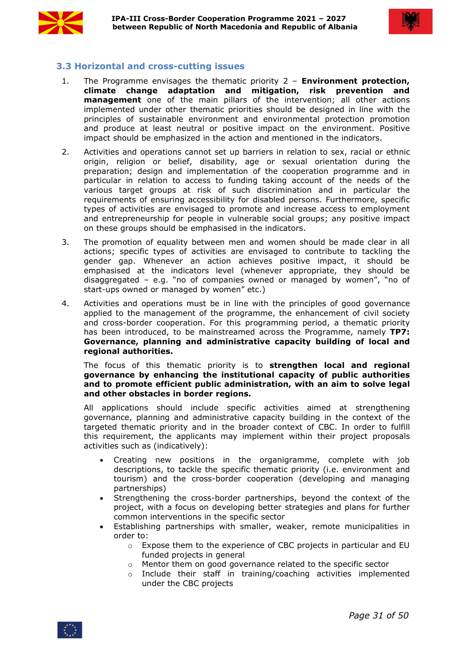



# <span id="page-30-0"></span>**3.3 Horizontal and cross-cutting issues**

- 1. The Programme envisages the thematic priority 2 **Environment protection, climate change adaptation and mitigation, risk prevention and management** one of the main pillars of the intervention; all other actions implemented under other thematic priorities should be designed in line with the principles of sustainable environment and environmental protection promotion and produce at least neutral or positive impact on the environment. Positive impact should be emphasized in the action and mentioned in the indicators.
- 2. Activities and operations cannot set up barriers in relation to sex, racial or ethnic origin, religion or belief, disability, age or sexual orientation during the preparation; design and implementation of the cooperation programme and in particular in relation to access to funding taking account of the needs of the various target groups at risk of such discrimination and in particular the requirements of ensuring accessibility for disabled persons. Furthermore, specific types of activities are envisaged to promote and increase access to employment and entrepreneurship for people in vulnerable social groups; any positive impact on these groups should be emphasised in the indicators.
- 3. The promotion of equality between men and women should be made clear in all actions; specific types of activities are envisaged to contribute to tackling the gender gap. Whenever an action achieves positive impact, it should be emphasised at the indicators level (whenever appropriate, they should be disaggregated – e.g. "no of companies owned or managed by women", "no of start-ups owned or managed by women" etc.)
- 4. Activities and operations must be in line with the principles of good governance applied to the management of the programme, the enhancement of civil society and cross-border cooperation. For this programming period, a thematic priority has been introduced, to be mainstreamed across the Programme, namely **TP7: Governance, planning and administrative capacity building of local and regional authorities.**

The focus of this thematic priority is to **strengthen local and regional governance by enhancing the institutional capacity of public authorities and to promote efficient public administration, with an aim to solve legal and other obstacles in border regions.** 

All applications should include specific activities aimed at strengthening governance, planning and administrative capacity building in the context of the targeted thematic priority and in the broader context of CBC. In order to fulfill this requirement, the applicants may implement within their project proposals activities such as (indicatively):

- Creating new positions in the organigramme, complete with job descriptions, to tackle the specific thematic priority (i.e. environment and tourism) and the cross-border cooperation (developing and managing partnerships)
- Strengthening the cross-border partnerships, beyond the context of the project, with a focus on developing better strategies and plans for further common interventions in the specific sector
- Establishing partnerships with smaller, weaker, remote municipalities in order to:
	- o Expose them to the experience of CBC projects in particular and EU funded projects in general
	- o Mentor them on good governance related to the specific sector
	- $\circ$  Include their staff in training/coaching activities implemented under the CBC projects

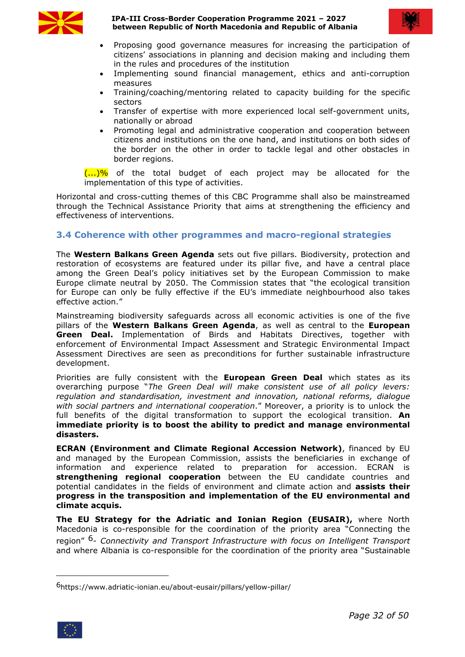

**IPA-III Cross-Border Cooperation Programme 2021 – 2027 between Republic of North Macedonia and Republic of Albania**



- Proposing good governance measures for increasing the participation of citizens' associations in planning and decision making and including them in the rules and procedures of the institution
- Implementing sound financial management, ethics and anti-corruption measures
- Training/coaching/mentoring related to capacity building for the specific sectors
- Transfer of expertise with more experienced local self-government units, nationally or abroad
- Promoting legal and administrative cooperation and cooperation between citizens and institutions on the one hand, and institutions on both sides of the border on the other in order to tackle legal and other obstacles in border regions.

 $\langle ...\rangle\%$  of the total budget of each project may be allocated for the implementation of this type of activities.

Horizontal and cross-cutting themes of this CBC Programme shall also be mainstreamed through the Technical Assistance Priority that aims at strengthening the efficiency and effectiveness of interventions.

# <span id="page-31-0"></span>**3.4 Coherence with other programmes and macro-regional strategies**

The **Western Balkans Green Agenda** sets out five pillars. Biodiversity, protection and restoration of ecosystems are featured under its pillar five, and have a central place among the Green Deal's policy initiatives set by the European Commission to make Europe climate neutral by 2050. The Commission states that "the ecological transition for Europe can only be fully effective if the EU's immediate neighbourhood also takes effective action."

Mainstreaming biodiversity safeguards across all economic activities is one of the five pillars of the **Western Balkans Green Agenda**, as well as central to the **European Green Deal.** Implementation of Birds and Habitats Directives, together with enforcement of Environmental Impact Assessment and Strategic Environmental Impact Assessment Directives are seen as preconditions for further sustainable infrastructure development.

Priorities are fully consistent with the **European Green Deal** which states as its overarching purpose "*The Green Deal will make consistent use of all policy levers: regulation and standardisation, investment and innovation, national reforms, dialogue with social partners and international cooperation*." Moreover, a priority is to unlock the full benefits of the digital transformation to support the ecological transition. **An immediate priority is to boost the ability to predict and manage environmental disasters.**

**ECRAN (Environment and Climate Regional Accession Network)**, financed by EU and managed by the European Commission, assists the beneficiaries in exchange of information and experience related to preparation for accession. ECRAN is **strengthening regional cooperation** between the EU candidate countries and potential candidates in the fields ofenvironment and climate action and **assists their progress in the transposition and implementation of the EU environmental and climate acquis.**

**The EU Strategy for the Adriatic and Ionian Region (EUSAIR),** where North Macedonia is co-responsible for the coordination of the priority area "Connecting the region" [6](#page-31-1)- *Connectivity and Transport Infrastructure with focus on Intelligent Transport* and where Albania is co-responsible for the coordination of the priority area "Sustainable

<span id="page-31-1"></span><sup>6</sup>https://www.adriatic-ionian.eu/about-eusair/pillars/yellow-pillar/

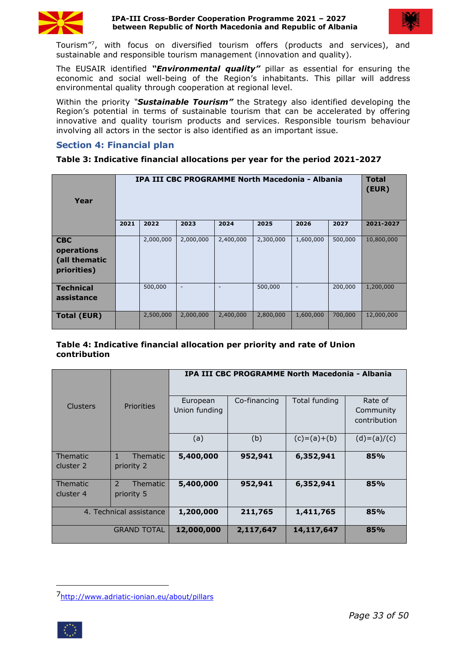

#### **IPA-III Cross-Border Cooperation Programme 2021 – 2027 between Republic of North Macedonia and Republic of Albania**



Tourism" [7](#page-32-1) , with focus on diversified tourism offers (products and services), and sustainable and responsible tourism management (innovation and quality).

The EUSAIR identified *"Environmental quality"* pillar as essential for ensuring the economic and social well-being of the Region's inhabitants. This pillar will address environmental quality through cooperation at regional level.

Within the priority *"Sustainable Tourism"* the Strategy also identified developing the Region's potential in terms of sustainable tourism that can be accelerated by offering innovative and quality tourism products and services. Responsible tourism behaviour involving all actors in the sector is also identified as an important issue.

## <span id="page-32-0"></span>**Section 4: Financial plan**

#### **Table 3: Indicative financial allocations per year for the period 2021-2027**

| Year                                                     |      |           |                          |                          | IPA III CBC PROGRAMME North Macedonia - Albania |                          |         | <b>Total</b><br>(EUR) |
|----------------------------------------------------------|------|-----------|--------------------------|--------------------------|-------------------------------------------------|--------------------------|---------|-----------------------|
|                                                          | 2021 | 2022      | 2023                     | 2024                     | 2025                                            | 2026                     | 2027    | 2021-2027             |
| <b>CBC</b><br>operations<br>(all thematic<br>priorities) |      | 2,000,000 | 2,000,000                | 2,400,000                | 2,300,000                                       | 1,600,000                | 500,000 | 10,800,000            |
| <b>Technical</b><br>assistance                           |      | 500,000   | $\overline{\phantom{a}}$ | $\overline{\phantom{a}}$ | 500,000                                         | $\overline{\phantom{a}}$ | 200,000 | 1,200,000             |
| <b>Total (EUR)</b>                                       |      | 2,500,000 | 2,000,000                | 2,400,000                | 2,800,000                                       | 1,600,000                | 700,000 | 12,000,000            |

#### **Table 4: Indicative financial allocation per priority and rate of Union contribution**

|                 |                          | IPA III CBC PROGRAMME North Macedonia - Albania |              |               |                                      |  |
|-----------------|--------------------------|-------------------------------------------------|--------------|---------------|--------------------------------------|--|
| <b>Clusters</b> | <b>Priorities</b>        | European<br>Union funding                       | Co-financing | Total funding | Rate of<br>Community<br>contribution |  |
|                 |                          | (a)                                             | (b)          | $(c)=(a)+(b)$ | $(d)=(a)/(c)$                        |  |
| Thematic        | Thematic<br>$\mathbf{1}$ | 5,400,000                                       | 952,941      | 6,352,941     | 85%                                  |  |
| cluster 2       | priority 2               |                                                 |              |               |                                      |  |
| <b>Thematic</b> | 2<br>Thematic            | 5,400,000                                       | 952,941      | 6,352,941     | 85%                                  |  |
| cluster 4       | priority 5               |                                                 |              |               |                                      |  |
|                 | 4. Technical assistance  | 1,200,000                                       | 211,765      | 1,411,765     | 85%                                  |  |
|                 | <b>GRAND TOTAL</b>       | 12,000,000                                      | 2,117,647    | 14,117,647    | 85%                                  |  |

<span id="page-32-1"></span><sup>7</sup><http://www.adriatic-ionian.eu/about/pillars>

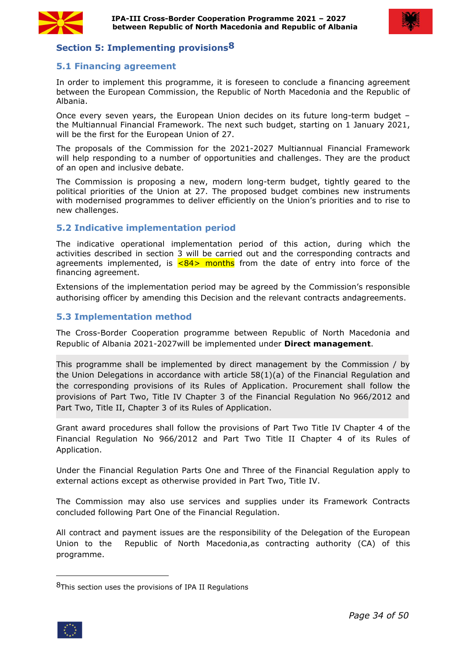



# <span id="page-33-0"></span>**Section 5: Implementing provisions[8](#page-33-4)**

# <span id="page-33-1"></span>**5.1 Financing agreement**

In order to implement this programme, it is foreseen to conclude a financing agreement between the European Commission, the Republic of North Macedonia and the Republic of Albania.

Once every seven years, the European Union decides on its future long-term budget – the Multiannual Financial Framework. The next such budget, starting on 1 January 2021, will be the first for the European Union of 27.

The proposals of the Commission for the 2021-2027 Multiannual Financial Framework will help responding to a number of opportunities and challenges. They are the product of an open and inclusive debate.

The Commission is proposing a new, modern long-term budget, tightly geared to the political priorities of the Union at 27. The proposed budget combines new instruments with modernised programmes to deliver efficiently on the Union's priorities and to rise to new challenges.

# <span id="page-33-2"></span>**5.2 Indicative implementation period**

The indicative operational implementation period of this action, during which the activities described in section 3 will be carried out and the corresponding contracts and agreements implemented, is  $\leq 84$  months from the date of entry into force of the financing agreement.

Extensions of the implementation period may be agreed by the Commission's responsible authorising officer by amending this Decision and the relevant contracts andagreements.

## <span id="page-33-3"></span>**5.3 Implementation method**

The Cross-Border Cooperation programme between Republic of North Macedonia and Republic of Albania 2021-2027will be implemented under **Direct management**.

This programme shall be implemented by direct management by the Commission / by the Union Delegations in accordance with article  $58(1)(a)$  of the Financial Regulation and the corresponding provisions of its Rules of Application. Procurement shall follow the provisions of Part Two, Title IV Chapter 3 of the Financial Regulation No 966/2012 and Part Two, Title II, Chapter 3 of its Rules of Application.

Grant award procedures shall follow the provisions of Part Two Title IV Chapter 4 of the Financial Regulation No 966/2012 and Part Two Title II Chapter 4 of its Rules of Application.

Under the Financial Regulation Parts One and Three of the Financial Regulation apply to external actions except as otherwise provided in Part Two, Title IV.

The Commission may also use services and supplies under its Framework Contracts concluded following Part One of the Financial Regulation.

All contract and payment issues are the responsibility of the Delegation of the European Union to the Republic of North Macedonia,as contracting authority (CA) of this programme.

<span id="page-33-4"></span><sup>8</sup>This section uses the provisions of IPA II Regulations

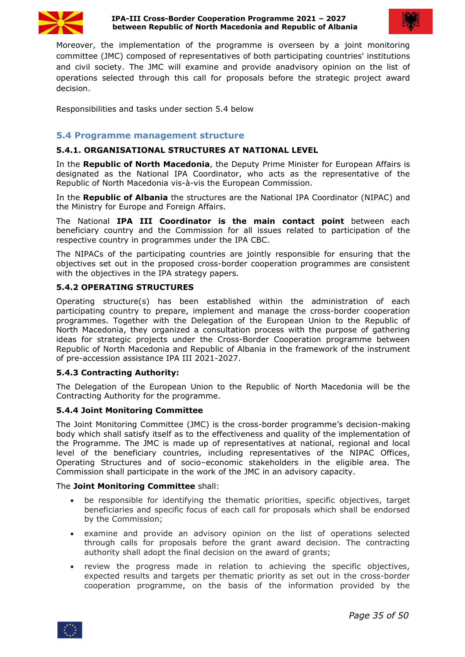



Moreover, the implementation of the programme is overseen by a joint monitoring committee (JMC) composed of representatives of both participating countries' institutions and civil society. The JMC will examine and provide anadvisory opinion on the list of operations selected through this call for proposals before the strategic project award decision.

Responsibilities and tasks under section 5.4 below

#### <span id="page-34-0"></span>**5.4 Programme management structure**

#### **5.4.1. ORGANISATIONAL STRUCTURES AT NATIONAL LEVEL**

In the **Republic of North Macedonia**, the Deputy Prime Minister for European Affairs is designated as the National IPA Coordinator, who acts as the representative of the Republic of North Macedonia vis-à-vis the European Commission.

In the **Republic of Albania** the structures are the National IPA Coordinator (NIPAC) and the Ministry for Europe and Foreign Affairs.

The National **IPA III Coordinator is the main contact point** between each beneficiary country and the Commission for all issues related to participation of the respective country in programmes under the IPA CBC.

The NIPACs of the participating countries are jointly responsible for ensuring that the objectives set out in the proposed cross-border cooperation programmes are consistent with the objectives in the IPA strategy papers.

## **5.4.2 OPERATING STRUCTURES**

Operating structure(s) has been established within the administration of each participating country to prepare, implement and manage the cross-border cooperation programmes. Together with the Delegation of the European Union to the Republic of North Macedonia, they organized a consultation process with the purpose of gathering ideas for strategic projects under the Cross-Border Cooperation programme between Republic of North Macedonia and Republic of Albania in the framework of the instrument of pre-accession assistance IPA III 2021-2027.

#### **5.4.3 Contracting Authority:**

The Delegation of the European Union to the Republic of North Macedonia will be the Contracting Authority for the programme.

#### **5.4.4 Joint Monitoring Committee**

The Joint Monitoring Committee (JMC) is the cross-border programme's decision-making body which shall satisfy itself as to the effectiveness and quality of the implementation of the Programme. The JMC is made up of representatives at national, regional and local level of the beneficiary countries, including representatives of the NIPAC Offices, Operating Structures and of socio–economic stakeholders in the eligible area. The Commission shall participate in the work of the JMC in an advisory capacity.

#### The **Joint Monitoring Committee** shall:

- be responsible for identifying the thematic priorities, specific objectives, target beneficiaries and specific focus of each call for proposals which shall be endorsed by the Commission;
- examine and provide an advisory opinion on the list of operations selected through calls for proposals before the grant award decision. The contracting authority shall adopt the final decision on the award of grants;
- review the progress made in relation to achieving the specific objectives, expected results and targets per thematic priority as set out in the cross-border cooperation programme, on the basis of the information provided by the

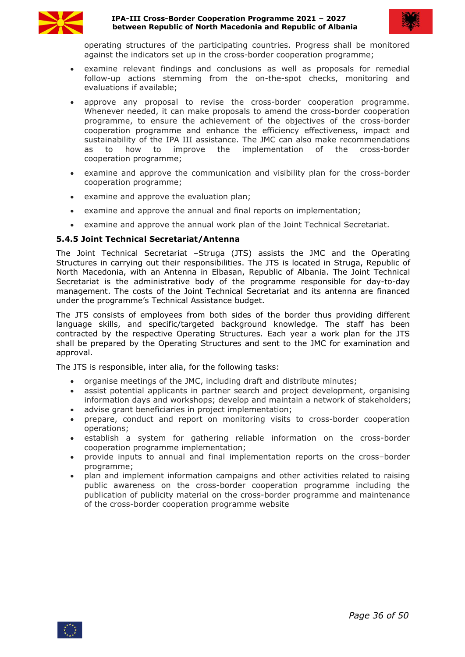

#### **IPA-III Cross-Border Cooperation Programme 2021 – 2027 between Republic of North Macedonia and Republic of Albania**



operating structures of the participating countries. Progress shall be monitored against the indicators set up in the cross-border cooperation programme;

- examine relevant findings and conclusions as well as proposals for remedial follow-up actions stemming from the on-the-spot checks, monitoring and evaluations if available;
- approve any proposal to revise the cross-border cooperation programme. Whenever needed, it can make proposals to amend the cross-border cooperation programme, to ensure the achievement of the objectives of the cross-border cooperation programme and enhance the efficiency effectiveness, impact and sustainability of the IPA III assistance. The JMC can also make recommendations as to how to improve the implementation of the cross-border cooperation programme;
- examine and approve the communication and visibility plan for the cross-border cooperation programme;
- examine and approve the evaluation plan;
- examine and approve the annual and final reports on implementation;
- examine and approve the annual work plan of the Joint Technical Secretariat.

## **5.4.5 Joint Technical Secretariat/Antenna**

The Joint Technical Secretariat –Struga (JTS) assists the JMC and the Operating Structures in carrying out their responsibilities. The JTS is located in Struga, Republic of North Macedonia, with an Antenna in Elbasan, Republic of Albania. The Joint Technical Secretariat is the administrative body of the programme responsible for day-to-day management. The costs of the Joint Technical Secretariat and its antenna are financed under the programme's Technical Assistance budget.

The JTS consists of employees from both sides of the border thus providing different language skills, and specific/targeted background knowledge. The staff has been contracted by the respective Operating Structures. Each year a work plan for the JTS shall be prepared by the Operating Structures and sent to the JMC for examination and approval.

The JTS is responsible, inter alia, for the following tasks:

- organise meetings of the JMC, including draft and distribute minutes;
- assist potential applicants in partner search and project development, organising information days and workshops; develop and maintain a network of stakeholders;
- advise grant beneficiaries in project implementation;
- prepare, conduct and report on monitoring visits to cross-border cooperation operations;
- establish a system for gathering reliable information on the cross-border cooperation programme implementation;
- provide inputs to annual and final implementation reports on the cross–border programme;
- plan and implement information campaigns and other activities related to raising public awareness on the cross-border cooperation programme including the publication of publicity material on the cross-border programme and maintenance of the cross-border cooperation programme website

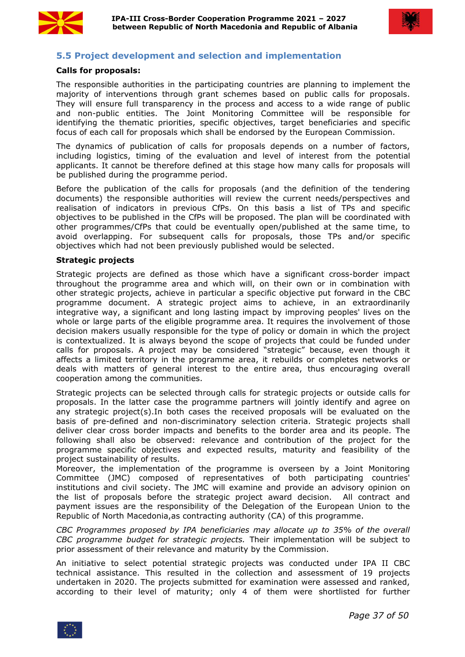



## <span id="page-36-0"></span>**5.5 Project development and selection and implementation**

#### **Calls for proposals:**

The responsible authorities in the participating countries are planning to implement the majority of interventions through grant schemes based on public calls for proposals. They will ensure full transparency in the process and access to a wide range of public and non-public entities. The Joint Monitoring Committee will be responsible for identifying the thematic priorities, specific objectives, target beneficiaries and specific focus of each call for proposals which shall be endorsed by the European Commission.

The dynamics of publication of calls for proposals depends on a number of factors, including logistics, timing of the evaluation and level of interest from the potential applicants. It cannot be therefore defined at this stage how many calls for proposals will be published during the programme period.

Before the publication of the calls for proposals (and the definition of the tendering documents) the responsible authorities will review the current needs/perspectives and realisation of indicators in previous CfPs. On this basis a list of TPs and specific objectives to be published in the CfPs will be proposed. The plan will be coordinated with other programmes/CfPs that could be eventually open/published at the same time, to avoid overlapping. For subsequent calls for proposals, those TPs and/or specific objectives which had not been previously published would be selected.

#### **Strategic projects**

Strategic projects are defined as those which have a significant cross-border impact throughout the programme area and which will, on their own or in combination with other strategic projects, achieve in particular a specific objective put forward in the CBC programme document. A strategic project aims to achieve, in an extraordinarily integrative way, a significant and long lasting impact by improving peoples' lives on the whole or large parts of the eligible programme area. It requires the involvement of those decision makers usually responsible for the type of policy or domain in which the project is contextualized. It is always beyond the scope of projects that could be funded under calls for proposals. A project may be considered "strategic" because, even though it affects a limited territory in the programme area, it rebuilds or completes networks or deals with matters of general interest to the entire area, thus encouraging overall cooperation among the communities.

Strategic projects can be selected through calls for strategic projects or outside calls for proposals. In the latter case the programme partners will jointly identify and agree on any strategic project(s).In both cases the received proposals will be evaluated on the basis of pre-defined and non-discriminatory selection criteria. Strategic projects shall deliver clear cross border impacts and benefits to the border area and its people. The following shall also be observed: relevance and contribution of the project for the programme specific objectives and expected results, maturity and feasibility of the project sustainability of results.

Moreover, the implementation of the programme is overseen by a Joint Monitoring Committee (JMC) composed of representatives of both participating countries' institutions and civil society. The JMC will examine and provide an advisory opinion on the list of proposals before the strategic project award decision. All contract and payment issues are the responsibility of the Delegation of the European Union to the Republic of North Macedonia, as contracting authority (CA) of this programme.

*CBC Programmes proposed by IPA beneficiaries may allocate up to 35% of the overall CBC programme budget for strategic projects.* Their implementation will be subject to prior assessment of their relevance and maturity by the Commission.

An initiative to select potential strategic projects was conducted under IPA II CBC technical assistance. This resulted in the collection and assessment of 19 projects undertaken in 2020. The projects submitted for examination were assessed and ranked, according to their level of maturity; only 4 of them were shortlisted for further

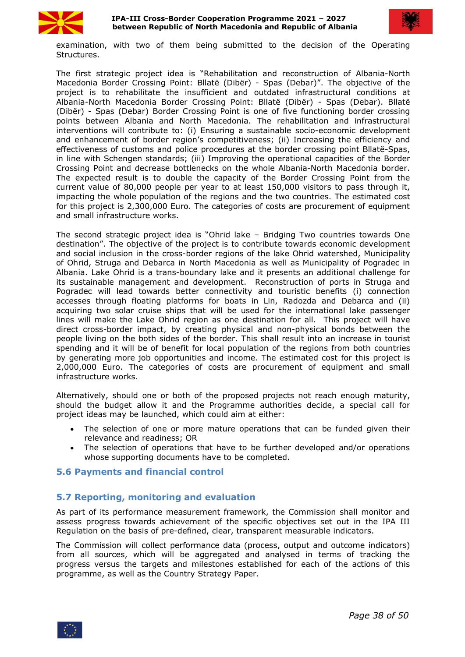



examination, with two of them being submitted to the decision of the Operating Structures.

The first strategic project idea is "Rehabilitation and reconstruction of Albania-North Macedonia Border Crossing Point: Bllatë (Dibër) - Spas (Debar)". The objective of the project is to rehabilitate the insufficient and outdated infrastructural conditions at Albania-North Macedonia Border Crossing Point: Bllatë (Dibër) - Spas (Debar). Bllatë (Dibër) - Spas (Debar) Border Crossing Point is one of five functioning border crossing points between Albania and North Macedonia. The rehabilitation and infrastructural interventions will contribute to: (i) Ensuring a sustainable socio-economic development and enhancement of border region's competitiveness; (ii) Increasing the efficiency and effectiveness of customs and police procedures at the border crossing point Bllatë-Spas, in line with Schengen standards; (iii) Improving the operational capacities of the Border Crossing Point and decrease bottlenecks on the whole Albania-North Macedonia border. The expected result is to double the capacity of the Border Crossing Point from the current value of 80,000 people per year to at least 150,000 visitors to pass through it, impacting the whole population of the regions and the two countries. The estimated cost for this project is 2,300,000 Euro. The categories of costs are procurement of equipment and small infrastructure works.

The second strategic project idea is "Ohrid lake – Bridging Two countries towards One destination". The objective of the project is to contribute towards economic development and social inclusion in the cross-border regions of the lake Ohrid watershed, Municipality of Ohrid, Struga and Debarca in North Macedonia as well as Municipality of Pogradec in Albania. Lake Ohrid is a trans-boundary lake and it presents an additional challenge for its sustainable management and development. Reconstruction of ports in Struga and Pogradec will lead towards better connectivity and touristic benefits (i) connection accesses through floating platforms for boats in Lin, Radozda and Debarca and (ii) acquiring two solar cruise ships that will be used for the international lake passenger lines will make the Lake Ohrid region as one destination for all. This project will have direct cross-border impact, by creating physical and non-physical bonds between the people living on the both sides of the border. This shall result into an increase in tourist spending and it will be of benefit for local population of the regions from both countries by generating more job opportunities and income. The estimated cost for this project is 2,000,000 Euro. The categories of costs are procurement of equipment and small infrastructure works.

Alternatively, should one or both of the proposed projects not reach enough maturity, should the budget allow it and the Programme authorities decide, a special call for project ideas may be launched, which could aim at either:

- The selection of one or more mature operations that can be funded given their relevance and readiness; OR
- The selection of operations that have to be further developed and/or operations whose supporting documents have to be completed.

# <span id="page-37-0"></span>**5.6 Payments and financial control**

# <span id="page-37-1"></span>**5.7 Reporting, monitoring and evaluation**

As part of its performance measurement framework, the Commission shall monitor and assess progress towards achievement of the specific objectives set out in the IPA III Regulation on the basis of pre-defined, clear, transparent measurable indicators.

The Commission will collect performance data (process, output and outcome indicators) from all sources, which will be aggregated and analysed in terms of tracking the progress versus the targets and milestones established for each of the actions of this programme, as well as the Country Strategy Paper.

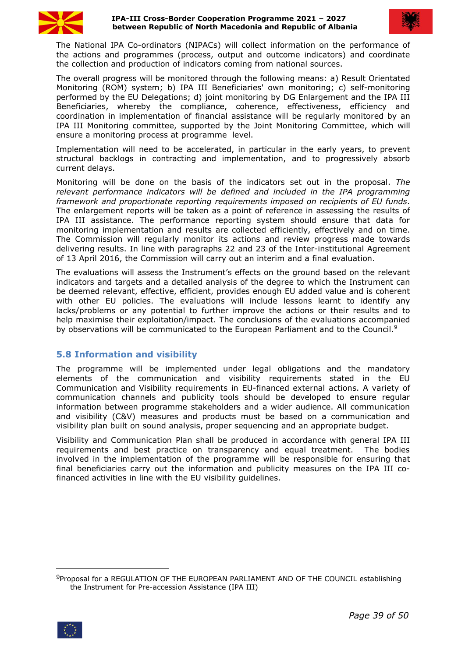



The National IPA Co-ordinators (NIPACs) will collect information on the performance of the actions and programmes (process, output and outcome indicators) and coordinate the collection and production of indicators coming from national sources.

The overall progress will be monitored through the following means: a) Result Orientated Monitoring (ROM) system; b) IPA III Beneficiaries' own monitoring; c) self-monitoring performed by the EU Delegations; d) joint monitoring by DG Enlargement and the IPA III Beneficiaries, whereby the compliance, coherence, effectiveness, efficiency and coordination in implementation of financial assistance will be regularly monitored by an IPA III Monitoring committee, supported by the Joint Monitoring Committee, which will ensure a monitoring process at programme level.

Implementation will need to be accelerated, in particular in the early years, to prevent structural backlogs in contracting and implementation, and to progressively absorb current delays.

Monitoring will be done on the basis of the indicators set out in the proposal. *The relevant performance indicators will be defined and included in the IPA programming framework and proportionate reporting requirements imposed on recipients of EU funds*. The enlargement reports will be taken as a point of reference in assessing the results of IPA III assistance. The performance reporting system should ensure that data for monitoring implementation and results are collected efficiently, effectively and on time. The Commission will regularly monitor its actions and review progress made towards delivering results. In line with paragraphs 22 and 23 of the Inter-institutional Agreement of 13 April 2016, the Commission will carry out an interim and a final evaluation.

The evaluations will assess the Instrument's effects on the ground based on the relevant indicators and targets and a detailed analysis of the degree to which the Instrument can be deemed relevant, effective, efficient, provides enough EU added value and is coherent with other EU policies. The evaluations will include lessons learnt to identify any lacks/problems or any potential to further improve the actions or their results and to help maximise their exploitation/impact. The conclusions of the evaluations accompanied by observations will be communicated to the European Parliament and to the Council.<sup>[9](#page-38-1)</sup>

# <span id="page-38-0"></span>**5.8 Information and visibility**

The programme will be implemented under legal obligations and the mandatory elements of the communication and visibility requirements stated in the EU Communication and Visibility requirements in EU-financed external actions. A variety of communication channels and publicity tools should be developed to ensure regular information between programme stakeholders and a wider audience. All communication and visibility (C&V) measures and products must be based on a communication and visibility plan built on sound analysis, proper sequencing and an appropriate budget.

Visibility and Communication Plan shall be produced in accordance with general IPA III requirements and best practice on transparency and equal treatment. The bodies involved in the implementation of the programme will be responsible for ensuring that final beneficiaries carry out the information and publicity measures on the IPA III cofinanced activities in line with the EU visibility guidelines.

<span id="page-38-1"></span><sup>9</sup>Proposal for a REGULATION OF THE EUROPEAN PARLIAMENT AND OF THE COUNCIL establishing the Instrument for Pre-accession Assistance (IPA III)

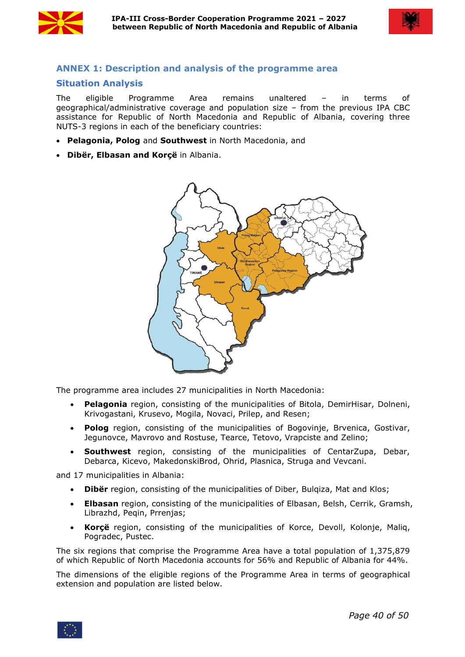



# <span id="page-39-0"></span>**ANNEX 1: Description and analysis of the programme area**

# <span id="page-39-1"></span>**Situation Analysis**

The eligible Programme Area remains unaltered – in terms of geographical/administrative coverage and population size – from the previous IPA CBC assistance for Republic of North Macedonia and Republic of Albania, covering three NUTS-3 regions in each of the beneficiary countries:

- **Pelagonia, Polog** and **Southwest** in North Macedonia, and
- **Dibër, Elbasan and Korçë** in Albania.



The programme area includes 27 municipalities in North Macedonia:

- **Pelagonia** region, consisting of the municipalities of Bitola, DemirHisar, Dolneni, Krivogastani, Krusevo, Mogila, Novaci, Prilep, and Resen;
- **Polog** region, consisting of the municipalities of Bogovinje, Brvenica, Gostivar, Jegunovce, Mavrovo and Rostuse, Tearce, Tetovo, Vrapciste and Zelino;
- **Southwest** region, consisting of the municipalities of CentarZupa, Debar, Debarca, Kicevo, MakedonskiBrod, Ohrid, Plasnica, Struga and Vevcani.

and 17 municipalities in Albania:

- **Dibër** region, consisting of the municipalities of Diber, Bulqiza, Mat and Klos;
- **Elbasan** region, consisting of the municipalities of Elbasan, Belsh, Cerrik, Gramsh, Librazhd, Peqin, Prrenjas;
- **Korçë** region, consisting of the municipalities of Korce, Devoll, Kolonje, Maliq, Pogradec, Pustec.

The six regions that comprise the Programme Area have a total population of 1,375,879 of which Republic of North Macedonia accounts for 56% and Republic of Albania for 44%.

The dimensions of the eligible regions of the Programme Area in terms of geographical extension and population are listed below.

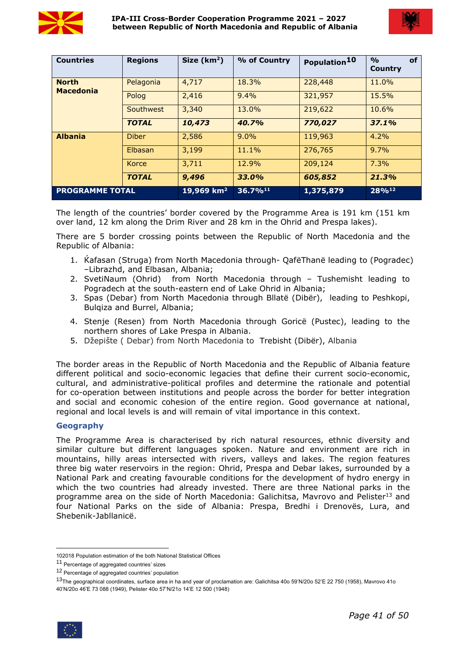



| <b>Countries</b>                 | <b>Regions</b> | Size $(km2)$ | % of Country  | Population <sup>10</sup> | of<br>$\frac{0}{0}$<br>Country |
|----------------------------------|----------------|--------------|---------------|--------------------------|--------------------------------|
| <b>North</b><br><b>Macedonia</b> | Pelagonia      | 4,717        | 18.3%         | 228,448                  | 11.0%                          |
|                                  | Polog          | 2,416        | 9.4%          | 321,957                  | 15.5%                          |
|                                  | Southwest      | 3,340        | 13.0%         | 219,622                  | 10.6%                          |
|                                  | <b>TOTAL</b>   | 10,473       | 40.7%         | 770,027                  | 37.1%                          |
| <b>Albania</b>                   | <b>Diber</b>   | 2,586        | 9.0%          | 119,963                  | 4.2%                           |
|                                  | <b>Elbasan</b> | 3,199        | 11.1%         | 276,765                  | $9.7\%$                        |
|                                  | Korce          | 3,711        | 12.9%         | 209,124                  | 7.3%                           |
|                                  | <b>TOTAL</b>   | 9,496        | 33.0%         | 605,852                  | 21.3%                          |
| <b>PROGRAMME TOTAL</b>           |                | 19,969 $km2$ | $36.7\%^{11}$ | 1,375,879                | 28%12                          |

The length of the countries' border covered by the Programme Area is 191 km (151 km over land, 12 km along the Drim River and 28 km in the Ohrid and Prespa lakes).

There are 5 border crossing points between the Republic of North Macedonia and the Republic of Albania:

- 1. [Ќafasan](https://en.wikipedia.org/wiki/Qaf%C3%AB_Than%C3%AB) [\(Struga\)](https://en.wikipedia.org/wiki/Struga_Municipality) from North Macedonia through- [QafëThanë](https://en.wikipedia.org/wiki/Qaf%C3%AB_Than%C3%AB) leading to ([Pogradec](https://en.wikipedia.org/wiki/Pogradec)) –Librazhd, and Elbasan, Albania;
- 2. [SvetiNaum](https://en.wikipedia.org/wiki/Monastery_of_Saint_Naum) [\(Ohrid\)](https://en.wikipedia.org/wiki/Ohrid_Municipality) from North Macedonia through Tushemisht leading to Pogradech at the south-eastern end of Lake Ohrid in Albania;
- 3. [Spas](https://en.wikipedia.org/w/index.php?title=Spas,_Republic_of_Macedonia&action=edit&redlink=1) ([Debar](https://en.wikipedia.org/wiki/Debar_Municipality)) from North Macedonia through [Bllatë](https://en.wikipedia.org/wiki/Bllat%C3%AB_e_Sip%C3%ABrme) [\(Dibër](https://en.wikipedia.org/wiki/Dib%C3%ABr,_Albania)), leading to Peshkopi, Bulqiza and Burrel, Albania;
- 4. [Stenje](https://en.wikipedia.org/wiki/Stenje) ([Resen](https://en.wikipedia.org/wiki/Resen_Municipality)) from North Macedonia through [Goricë](https://en.wikipedia.org/wiki/Goric%C3%AB_e_Madhe) [\(Pustec\)](https://en.wikipedia.org/wiki/Pustec_Municipality), leading to the northern shores of Lake Prespa in Albania.
- 5. Džepište ( Debar) from North Macedonia to [Trebisht](https://en.wikipedia.org/wiki/Trebisht) ([Dibër](https://en.wikipedia.org/wiki/Dib%C3%ABr,_Albania)), Albania

The border areas in the Republic of North Macedonia and the Republic of Albania feature different political and socio-economic legacies that define their current socio-economic, cultural, and administrative-political profiles and determine the rationale and potential for co-operation between institutions and people across the border for better integration and social and economic cohesion of the entire region. Good governance at national, regional and local levels is and will remain of vital importance in thiscontext.

#### **Geography**

The Programme Area is characterised by rich natural resources, ethnic diversity and similar culture but different languages spoken. Nature and environment are rich in mountains, hilly areas intersected with rivers, valleys and lakes. The region features three big water reservoirs in the region: Ohrid, Prespa and Debar lakes, surrounded by a National Park and creating favourable conditions for the development of hydro energy in which the two countries had already invested. There are three National parks in the programme area on the side of North Macedonia: Galichitsa, Mavrovo and Pelister<sup>[13](#page-40-3)</sup> and four National Parks on the side of Albania: Prespa, Bredhi i Drenovës, Lura, and Shebenik-Jabllanicë.

<span id="page-40-3"></span> $13$ The geographical coordinates, surface area in ha and year of proclamation are: Galichitsa 40o 59'N/20o 52'E 22 750 (1958), Mavrovo 41o 40'N/20o 46'E 73 088 (1949), Pelister 40o 57'N/21o 14'E 12 500 (1948)



<span id="page-40-0"></span><sup>102018</sup> Population estimation of the both National Statistical Offices

<span id="page-40-1"></span><sup>11</sup> Percentage of aggregated countries' sizes

<span id="page-40-2"></span><sup>12</sup> Percentage of aggregated countries' population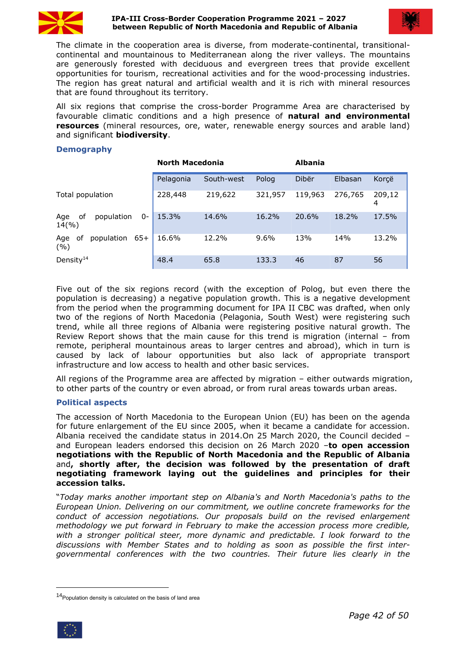

#### **IPA-III Cross-Border Cooperation Programme 2021 – 2027 between Republic of North Macedonia and Republic of Albania**



The climate in the cooperation area is diverse, from moderate-continental, transitional continental and mountainous to Mediterranean along the river valleys. The mountains are generously forested with deciduous and evergreen trees that provide excellent opportunities for tourism, recreational activities and for the wood-processing industries. The region has great natural and artificial wealth and it is rich with mineral resources that are found throughout its territory.

All six regions that comprise the cross-border Programme Area are characterised by favourable climatic conditions and a high presence of **natural and environmental resources** (mineral resources, ore, water, renewable energy sources and arable land) and significant **biodiversity**.

## **Demography**

|                                        | <b>North Macedonia</b> |            |         | <b>Albania</b> |         |             |  |
|----------------------------------------|------------------------|------------|---------|----------------|---------|-------------|--|
|                                        | Pelagonia              | South-west | Polog   | Dibër          | Elbasan | Korçë       |  |
| Total population                       | 228,448                | 219,622    | 321,957 | 119,963        | 276,765 | 209,12<br>4 |  |
| of<br>population<br>Age<br>0-<br>14(%) | 15.3%                  | 14.6%      | 16.2%   | 20.6%          | 18.2%   | 17.5%       |  |
| population 65+<br>Age of<br>(%)        | 16.6%                  | 12.2%      | 9.6%    | 13%            | 14%     | 13.2%       |  |
| Density <sup>14</sup>                  | 48.4                   | 65.8       | 133.3   | 46             | 87      | 56          |  |

Five out of the six regions record (with the exception of Polog, but even there the population is decreasing) a negative population growth. This is a negative development from the period when the programming document for IPA II CBC was drafted, when only two of the regions of North Macedonia (Pelagonia, South West) were registering such trend, while all three regions of Albania were registering positive natural growth. The Review Report shows that the main cause for this trend is migration (internal – from remote, peripheral mountainous areas to larger centres and abroad), which in turn is caused by lack of labour opportunities but also lack of appropriate transport infrastructure and low access to health and other basic services.

All regions of the Programme area are affected by migration – either outwards migration, to other parts of the country or even abroad, or from rural areas towards urban areas.

#### **Political aspects**

The accession of North [Macedonia](https://en.wikipedia.org/wiki/North_Macedonia) to the [European](https://en.wikipedia.org/wiki/European_Union) Union (EU) has been on the agenda for future [enlargement](https://en.wikipedia.org/wiki/Future_enlargement_of_the_European_Union) of the EU since 2005, when it became a candidate for accession. Albania received the candidate status in 2014.On 25 March 2020, the Council decided – and European leaders endorsed this decision on 26 March 2020 –**to open accession negotiations with the Republic of North Macedonia and the Republic of Albania** and**, shortly after, the decision was followed by the presentation of draft negotiating framework laying out the guidelines and principles for their accession talks.**

"*Today marks another important step on Albania's and North Macedonia's paths to the European Union. Delivering on our commitment, we outline concrete frameworks forthe conduct of accession negotiations. Our proposals build on the revised enlargement methodology we put forward in February to make the accession process more credible, with a stronger political steer, more dynamic and predictable. I look forward to the discussions with Member States and to holding as soon as possible the first inter governmental conferences with the two countries. Their future lies clearly in the*

<span id="page-41-0"></span> $14$ Population density is calculated on the basis of land area

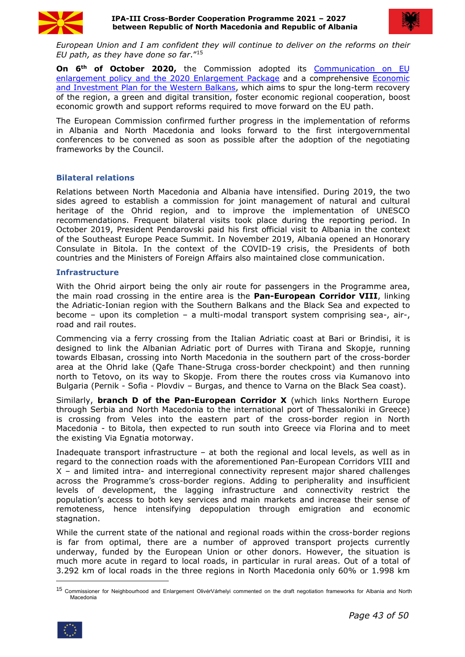



*European Union and I am confident they will continue to deliver on the reforms on their EU path, as they have done so far*." [15](#page-42-0)

**On 6th of October 2020,** the Commission adopted its [Communication](https://ec.europa.eu/neighbourhood-enlargement/sites/near/files/20201006-communication-on-eu-enlargement-policy_en.pdf) on EU enlargement policy and the 2020 Enlargement Package and a comprehensive [Economic](https://ec.europa.eu/commission/presscorner/detail/en/IP_20_1811) and Investment Plan for the Western Balkans, which aims to spur the long-term recovery of the region, a green and digital transition, foster economic regional cooperation, boost economic growth and support reforms required to move forward on the EU path.

The European Commission confirmed further progress in the implementation of reforms in Albania and North Macedonia and looks forward to the first intergovernmental conferences to be convened as soon as possible after the adoption of the negotiating frameworks by the Council.

#### **Bilateral relations**

Relations between North Macedonia and Albania have intensified. During 2019, the two sides agreed to establish a commission for joint management of natural and cultural heritage of the Ohrid region, and to improve the implementation of UNESCO recommendations. Frequent bilateral visits took place during the reporting period. In October 2019, President Pendarovski paid his first official visit to Albania in the context of the Southeast Europe Peace Summit. In November 2019, Albania opened an Honorary Consulate in Bitola. In the context of the COVID-19 crisis, the Presidents of both countries and the Ministers of Foreign Affairs also maintained close communication.

#### **Infrastructure**

With the Ohrid airport being the only air route for passengers in the Programme area, the main road crossing in the entire area is the **Pan-European Corridor VIII**, linking the Adriatic-Ionian region with the Southern Balkans and the Black Sea and expected to become – upon its completion – a multi-modal transport system comprising sea-, air-, road and rail routes.

Commencing via a ferry crossing from the Italian Adriatic coast at Bari or Brindisi, it is designed to link the Albanian Adriatic port of Durres with Tirana and Skopje, running towards Elbasan, crossing into North Macedonia in the southern part of the cross-border area at the Ohrid lake (Qafe Thane-Struga cross-border checkpoint) and then running north to Tetovo, on its way to Skopje. From there the routes cross via Kumanovo into Bulgaria (Pernik - Sofia - Plovdiv – Burgas, and thence to Varna on the Black Sea coast).

Similarly, **branch D of the Pan-European Corridor X** (which links Northern Europe through Serbia and North Macedonia to the international port of Thessaloniki in Greece) is crossing from Veles into the eastern part of the cross-border region in North Macedonia - to Bitola, then expected to run south into Greece via Florina and to meet the existing Via Egnatia motorway.

Inadequate transport infrastructure – at both the regional and local levels, as well as in regard to the connection roads with the aforementioned Pan-European Corridors VIII and X – and limited intra- and interregional connectivity represent major shared challenges across the Programme's cross-border regions. Adding to peripherality and insufficient levels of development, the lagging infrastructure and connectivity restrict the population's access to both key services and main markets and increase their sense of remoteness, hence intensifying depopulation through emigration and economic stagnation.

While the current state of the national and regional roads within the cross-border regions is far from optimal, there are a number of approved transport projects currently underway, funded by the European Union or other donors. However, the situation is much more acute in regard to local roads, in particular in rural areas. Out of a total of 3.292 km of local roads in the three regions in North Macedonia only 60% or 1.998 km

<span id="page-42-0"></span><sup>15</sup> Commissioner for Neighbourhood and Enlargement OlivérVárhelyi commented on the draft negotiation frameworks for Albania and North Macedonia

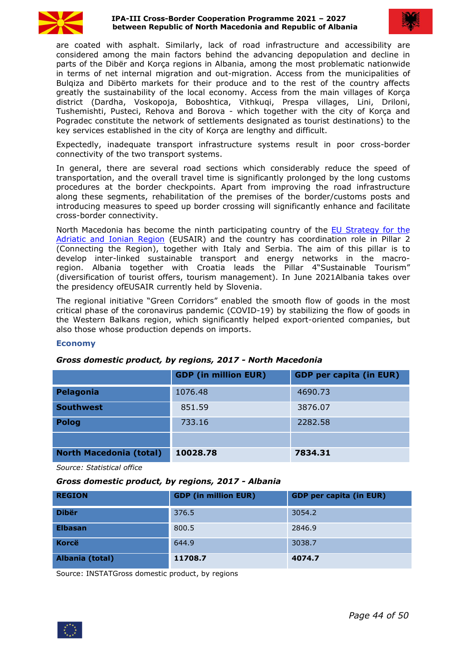

#### **IPA-III Cross-Border Cooperation Programme 2021 – 2027 between Republic of North Macedonia and Republic of Albania**



are coated with asphalt. Similarly, lack of road infrastructure and accessibility are considered among the main factors behind the advancing depopulation and decline in parts of the Dibër and Korça regions in Albania, among the most problematic nationwide in terms of net internal migration and out-migration. Access from the municipalities of Bulqiza and Dibërto markets for their produce and to the rest of the country affects greatly the sustainability of the local economy. Access from the main villages of Korça district (Dardha, Voskopoja, Boboshtica, Vithkuqi, Prespa villages, Lini, Driloni, Tushemishti, Pusteci, Rehova and Borova - which together with the city of Korça and Pogradec constitute the network of settlements designated as tourist destinations) to the key services established in the city of Korça are lengthy and difficult.

Expectedly, inadequate transport infrastructure systems result in poor cross-border connectivity of the two transport systems.

In general, there are several road sections which considerably reduce the speed of transportation, and the overall travel time is significantly prolonged by the long customs procedures at the border checkpoints. Apart from improving the road infrastructure along these segments, rehabilitation of the premises of the border/customs posts and introducing measures to speed up border crossing will significantly enhance and facilitate cross-border connectivity.

North Macedonia has become the ninth participating country of the EU [Strategy](https://ec.europa.eu/regional_policy/en/policy/cooperation/macro-regional-strategies/adriatic-ionian/) for the Adriatic and Ionian Region (EUSAIR) and the country has coordination role in Pillar 2 (Connecting the Region), together with Italy and Serbia. The aim of this pillar is to develop inter-linked sustainable transport and energy networks in the macroregion. Albania together with Croatia leads the Pillar 4"Sustainable Tourism" (diversification of tourist offers, tourism management). In June 2021Albania takes over the presidency ofEUSAIR currently held by Slovenia.

The regional initiative "Green Corridors" enabled the smooth flow of goods in the most critical phase of the coronavirus pandemic (COVID-19) by stabilizing the flow of goods in the Western Balkans region, which significantly helped export-oriented companies, but also those whose production depends on imports.

#### **Economy**

#### *Gross domestic product, by regions, 2017 - North Macedonia*

|                                | <b>GDP (in million EUR)</b> | <b>GDP per capita (in EUR)</b> |
|--------------------------------|-----------------------------|--------------------------------|
| Pelagonia                      | 1076.48                     | 4690.73                        |
| <b>Southwest</b>               | 851.59                      | 3876.07                        |
| <b>Polog</b>                   | 733.16                      | 2282.58                        |
|                                |                             |                                |
| <b>North Macedonia (total)</b> | 10028.78                    | 7834.31                        |

*Source: Statistical office*

#### *Gross domestic product, by regions, 2017 - Albania*

| <b>REGION</b>   | <b>GDP (in million EUR)</b> | <b>GDP</b> per capita (in EUR) |
|-----------------|-----------------------------|--------------------------------|
| <b>Dibër</b>    | 376.5                       | 3054.2                         |
| <b>Elbasan</b>  | 800.5                       | 2846.9                         |
| <b>Korcë</b>    | 644.9                       | 3038.7                         |
| Albania (total) | 11708.7                     | 4074.7                         |

Source: INSTATGross domestic product, by regions

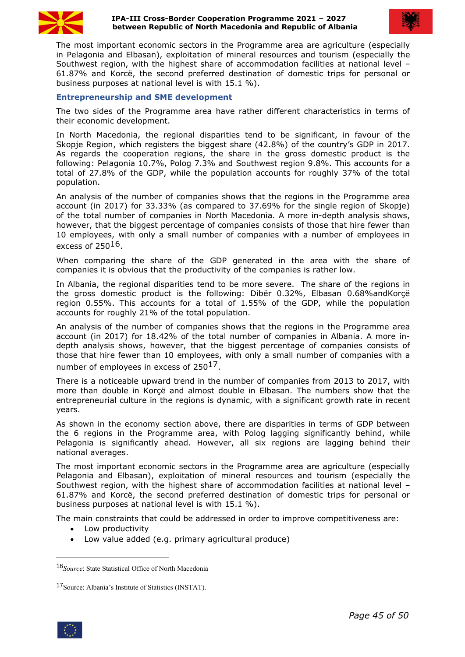



The most important economic sectors in the Programme area are agriculture (especially in Pelagonia and Elbasan), exploitation of mineral resources and tourism (especially the Southwest region, with the highest share of accommodation facilities at national level – 61.87% and Korcë, the second preferred destination of domestic trips for personal or business purposes at national level is with 15.1 %).

#### **Entrepreneurship and SME development**

The two sides of the Programme area have rather different characteristics in terms of their economic development.

In North Macedonia, the regional disparities tend to be significant, in favour of the Skopje Region, which registers the biggest share (42.8%) of the country's GDP in 2017. As regards the cooperation regions, the share in the gross domestic product is the following: Pelagonia 10.7%, Polog 7.3% and Southwest region 9.8%. This accounts fora total of 27.8% of the GDP, while the population accounts for roughly 37% of the total population.

An analysis of the number of companies shows that the regions in the Programme area account (in 2017) for 33.33% (as compared to37.69% for the single region of Skopje) of the total number of companies in North Macedonia. A more in-depth analysis shows, however, that the biggest percentage of companies consists of those that hire fewer than 10 employees, with only a small number of companies with a number of employees in excess of  $250^{16}$ .

When comparing the share of the GDP generated in the area with the share of companies it is obvious that the productivity of the companies is rather low.

In Albania, the regional disparities tend to be more severe. The share of the regions in the gross domestic product is the following: Dibër 0.32%, Elbasan 0.68%andKorçë region 0.55%. This accounts for a total of 1.55% of the GDP, while the population accounts for roughly 21% of the total population.

An analysis of the number of companies shows that the regions in the Programme area account (in 2017) for 18.42% of the total number of companies in Albania. A more indepth analysis shows, however, that the biggest percentage of companies consists of those that hire fewer than 10 employees, with only a small number of companies with a number of employees in excess of  $250^{17}$  $250^{17}$  $250^{17}$ .

There is a noticeable upward trend in the number of companies from 2013 to 2017, with more than double in Korçë and almost double in Elbasan. The numbers show that the entrepreneurial culture in the regions is dynamic, with a significant growth rate in recent years.

As shown in the economy section above, there are disparities in terms of GDP between the 6 regions in the Programme area, with Polog lagging significantly behind, while Pelagonia is significantly ahead. However, all six regions are lagging behind their national averages.

The most important economic sectors in the Programme area are agriculture (especially Pelagonia and Elbasan), exploitation of mineral resources and tourism (especially the Southwest region, with the highest share of accommodation facilities at national level – 61.87% and Korcë, the second preferred destination of domestic trips for personal or business purposes at national level is with 15.1 %).

The main constraints that could be addressed in order to improve competitiveness are:

- Low productivity
- Low value added (e.g. primary agricultural produce)

<span id="page-44-1"></span><sup>17</sup>Source: Albania's Institute of Statistics (INSTAT).



<span id="page-44-0"></span><sup>16</sup>*Source*: State Statistical Office of North Macedonia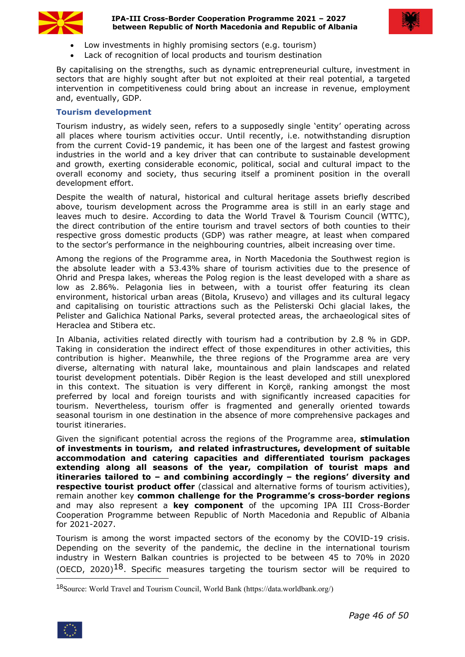

#### **IPA-III Cross-Border Cooperation Programme 2021 – 2027 between Republic of North Macedonia and Republic of Albania**



- Low investments in highly promising sectors (e.g. tourism)
- Lack of recognition of local products and tourism destination

By capitalising on the strengths, such as dynamic entrepreneurial culture, investment in sectors that are highly sought after but not exploited at their real potential, a targeted intervention in competitiveness could bring about an increase in revenue, employment and, eventually, GDP.

#### **Tourism development**

Tourism industry, as widely seen, refers to a supposedly single 'entity' operating across all places where tourism activities occur. Until recently, i.e. notwithstanding disruption from the current Covid-19 pandemic, it has been one of the largest and fastest growing industries in the world and a key driver that can contribute to sustainable development and growth, exerting considerable economic, political, social and cultural impact to the overall economy and society, thus securing itself a prominent position in the overall development effort.

Despite the wealth of natural, historical and cultural heritage assets briefly described above, tourism development across the Programme area is still in an early stage and leaves much to desire. According to data the World Travel & Tourism Council (WTTC), the direct contribution of the entire tourism and travel sectors of both counties to their respective gross domestic products (GDP) was rather meagre, at least when compared to the sector's performance in the neighbouring countries, albeit increasing over time.

Among the regions of the Programme area, in North Macedonia the Southwest region is the absolute leader with a 53.43% share of tourism activities due to the presence of Ohrid and Prespa lakes, whereas the Polog region is the least developed with a share as low as 2.86%. Pelagonia lies in between, with a tourist offer featuring its clean environment, historical urban areas (Bitola, Krusevo) and villages and its cultural legacy and capitalising on touristic attractions such as the Pelisterski Ochi glacial lakes, the Pelister and Galichica National Parks, several protected areas, the archaeological sites of Heraclea and Stibera etc.

In Albania, activities related directly with tourism had a contribution by 2.8 % in GDP. Taking in consideration the indirect effect of those expenditures in other activities, this contribution is higher. Meanwhile, the three regions of the Programme area are very diverse, alternating with natural lake, mountainous and plain landscapes and related tourist development potentials. Dibër Region is the least developed and still unexplored in this context. The situation is very different in Korçë, ranking amongst the most preferred by local and foreign tourists and with significantly increased capacities for tourism. Nevertheless, tourism offer is fragmented and generally oriented towards seasonal tourism in one destination in the absence of more comprehensive packages and tourist itineraries.

Given the significant potential across the regions of the Programme area, **stimulation of investments in tourism, and related infrastructures, development of suitable accommodation and catering capacities and differentiated tourism packages extending along all seasons of the year, compilation of tourist maps and itineraries tailored to – and combining accordingly – the regions' diversity and respective tourist product offer** (classical and alternative forms of tourism activities), remain another key **common challenge for the Programme's cross-border regions** and may also represent a **key component** of the upcoming IPA III Cross-Border Cooperation Programme between Republic of North Macedonia and Republic of Albania for 2021-2027.

Tourism is among the worst impacted sectors of the economy by the COVID-19 crisis. Depending on the severity of the pandemic, the decline in the international tourism industry in Western Balkan countries is projected to be between 45 to 70% in 2020 (OECD, 2020)<sup>[18](#page-45-0)</sup>. Specific measures targeting the tourism sector will be required to

<span id="page-45-0"></span><sup>18</sup>Source: World Travel and Tourism Council, World Bank (https://data.worldbank.org/)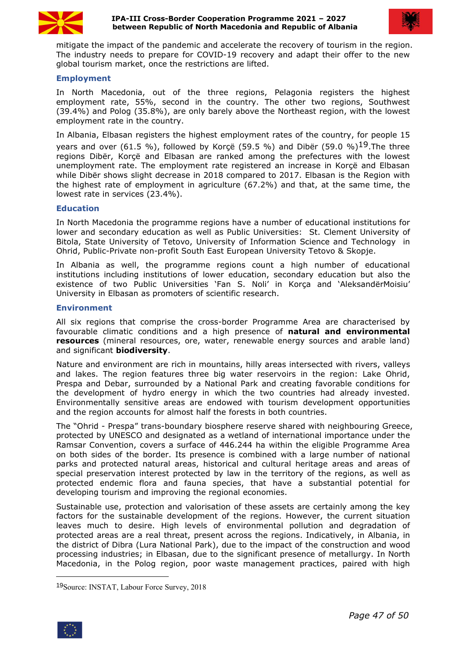



mitigate the impact of the pandemic and accelerate the recovery of tourism in the region. The industry needs to prepare for COVID-19 recovery and adapt their offer to the new global tourism market, once the restrictions are lifted.

#### **Employment**

In North Macedonia, out of the three regions, Pelagonia registers the highest employment rate, 55%, second in the country. The other two regions, Southwest (39.4%) and Polog (35.8%), are only barely above the Northeast region, with the lowest employment rate in the country.

In Albania, Elbasan registers the highest employment rates of the country, for people 15 years and over (61.5 %), followed by Korçë (59.5 %) and Dibër (59.0 %)<sup>19</sup>. The three regions Dibër, Korçë and Elbasan are ranked among the prefectures with the lowest unemployment rate. The employment rate registered an increase in Korçë and Elbasan while Dibër shows slight decrease in 2018 compared to 2017. Elbasan is the Region with the highest rate of employment in agriculture  $(67.2\%)$  and that, at the same time, the lowest rate in services (23.4%).

#### **Education**

In North Macedonia the programme regions have a number of educational institutions for lower and secondary education as well as Public Universities: St. Clement University of Bitola, State University of Tetovo, University of [Information](https://en.wikipedia.org/wiki/University_of_Information_Science_and_Technology_%22St._Paul_The_Apostle%22) Science and Technology in Ohrid, Public-Private non-profit South East European University Tetovo & Skopje.

In Albania as well, the programme regions count a high number of educational institutions including institutions of lower education, secondary education but also the existence of two Public Universities 'Fan S. Noli' in Korça and 'AleksandërMoisiu' University in Elbasan as promoters of scientific research.

#### **Environment**

All six regions that comprise the cross-border Programme Area are characterised by favourable climatic conditions and a high presence of **natural and environmental resources** (mineral resources, ore, water, renewable energy sources and arable land) and significant **biodiversity**.

Nature and environment are rich in mountains, hilly areas intersected with rivers, valleys and lakes. The region features three big water reservoirs in the region: Lake Ohrid, Prespa and Debar, surrounded by a National Park and creating favorable conditions for the development of hydro energy in which the two countries had already invested. Environmentally sensitive areas are endowed with tourism development opportunities and the region accounts for almost half the forests in both countries.

The "Ohrid - Prespa" trans-boundary biosphere reserve shared with neighbouring Greece, protected by UNESCO and designated as a wetland of international importance under the Ramsar Convention, covers a surface of 446.244 ha within the eligible Programme Area on both sides of the border. Its presence is combined with a large number ofnational parks and protected natural areas, historical and cultural heritage areas and areas of special preservation interest protected by law in the territory of the regions, as well as protected endemic flora and fauna species, that have a substantial potential for developing tourism and improving the regional economies.

Sustainable use, protection and valorisation of these assets are certainly among the key factors for the sustainable development of the regions. However, the current situation leaves much to desire. High levels of environmental pollution and degradation of protected areas are a real threat, present across the regions. Indicatively, in Albania, in the district of Dibra (Lura National Park), due to the impact of the construction and wood processing industries; in Elbasan, due to the significant presence of metallurgy. In North Macedonia, in the Polog region, poor waste management practices, paired with high

<span id="page-46-0"></span><sup>19</sup>Source: INSTAT, Labour Force Survey, 2018

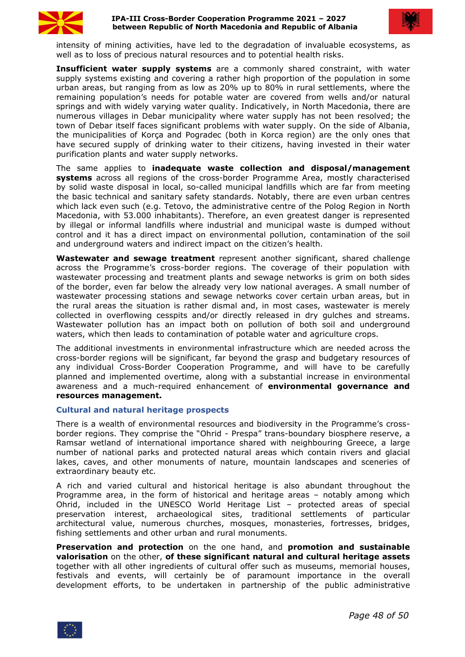



intensity of mining activities, have led to the degradation of invaluable ecosystems, as well as to loss of precious natural resources and to potential health risks.

**Insufficient water supply systems** are a commonly shared constraint, with water supply systems existing and covering a rather high proportion of the population in some urban areas, but ranging from as low as 20% up to 80% in rural settlements, where the remaining population's needs for potable water are covered from wells and/or natural springs and with widely varying water quality. Indicatively, in North Macedonia, there are numerous villages in Debar municipality where watersupply has not been resolved; the town of Debar itself faces significant problems with water supply. On the side of Albania, the municipalities of Korça and Pogradec (both in Korca region) are the only ones that have secured supply of drinking water to their citizens, having invested in their water purification plants and water supply networks.

The same applies to **inadequate waste collection and disposal/management systems** across all regions of the cross-border Programme Area, mostly characterised by solid waste disposal in local, so-called municipal landfills which are farfrom meeting the basic technical and sanitary safety standards. Notably, there are even urban centres which lack even such (e.g. Tetovo, the administrative centre of the Polog Region in North Macedonia, with 53.000 inhabitants). Therefore, an even greatest danger is represented by illegal or informal landfills where industrial and municipal waste is dumped without control and it has a direct impact on environmental pollution, contamination of the soil and underground waters and indirect impact on the citizen's health.

**Wastewater and sewage treatment** represent another significant, shared challenge across the Programme's cross-border regions. The coverage of their population with wastewater processing and treatment plants and sewage networks is grim on both sides of the border, even far below the already very low national averages. A small number of wastewater processing stations and sewage networks cover certain urban areas, but in the rural areas the situation is rather dismal and, in most cases, wastewater is merely collected in overflowing cesspits and/or directly released in dry gulches and streams. Wastewater pollution has an impact both on pollution of both soil and underground waters, which then leads to contamination of potable water and agriculture crops.

The additional investments in environmental infrastructure which are needed across the cross-border regions will be significant, far beyond the grasp and budgetary resources of any individual Cross-Border Cooperation Programme, and will have to be carefully planned and implemented overtime, along with a substantial increase in environmental awareness and a much-required enhancement of **environmental governance and resources management.**

#### **Cultural and natural heritage prospects**

There is a wealth of environmental resources and biodiversity in the Programme's cross border regions. They comprise the "Ohrid - Prespa" trans-boundary biosphere reserve, a Ramsar wetland of international importance shared with neighbouring Greece, a large number of national parks and protected natural areas which contain rivers and glacial lakes, caves, and other monuments of nature, mountain landscapes and sceneries of extraordinary beauty etc.

A rich and varied cultural and historical heritage is also abundant throughout the Programme area, in the form of historical and heritage areas – notably among which Ohrid, included in the UNESCO World Heritage List – protected areas of special preservation interest, archaeological sites, traditional settlements of particular architectural value, numerous churches, mosques, monasteries, fortresses, bridges, fishing settlements and other urban and rural monuments.

**Preservation and protection** on the one hand, and **promotion and sustainable valorisation** on the other, **of these significant natural and cultural heritage assets** together with all other ingredients of cultural offer such as museums, memorial houses, festivals and events, will certainly be of paramount importance in the overall development efforts, to be undertaken in partnership of the public administrative

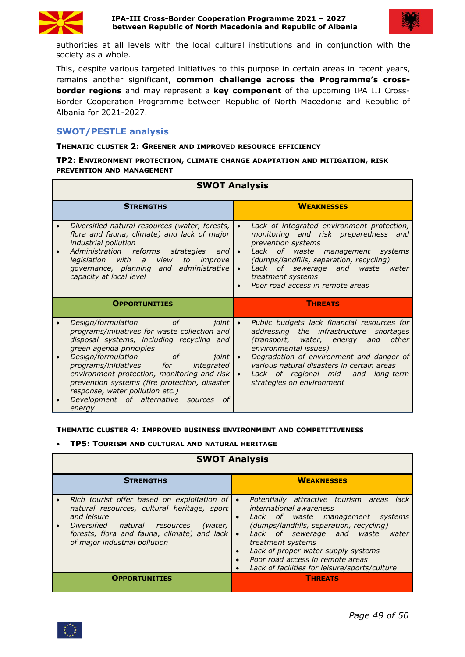



authorities at all levels with the local cultural institutions and in conjunction with the society as a whole.

This, despite various targeted initiatives to this purpose in certain areas in recent years, remains another significant, **common challenge across the Programme's cross border regions** and may represent a **key component** of the upcoming IPA III Cross-Border Cooperation Programme between Republic of North Macedonia and Republic of Albania for 2021-2027.

# <span id="page-48-0"></span>**SWOT/PESTLE analysis**

#### **THEMATIC CLUSTER 2: GREENER AND IMPROVED RESOURCE EFFICIENCY**

#### **TP2: ENVIRONMENT PROTECTION, CLIMATE CHANGE ADAPTATION AND MITIGATION, RISK PREVENTION AND MANAGEMENT**

| <b>SWOT Analysis</b> |                                                                                                                                                                                                                                                                                                                       |                                               |                                                                                                                                                                                                                                                                                                                         |  |  |
|----------------------|-----------------------------------------------------------------------------------------------------------------------------------------------------------------------------------------------------------------------------------------------------------------------------------------------------------------------|-----------------------------------------------|-------------------------------------------------------------------------------------------------------------------------------------------------------------------------------------------------------------------------------------------------------------------------------------------------------------------------|--|--|
| <b>STRENGTHS</b>     |                                                                                                                                                                                                                                                                                                                       |                                               | <b>WEAKNESSES</b>                                                                                                                                                                                                                                                                                                       |  |  |
|                      | Diversified natural resources (water, forests,  <br>flora and fauna, climate) and lack of major<br>industrial pollution<br>Administration reforms<br>strategies<br>and $  \bullet  $<br>with a<br>legislation<br>view<br><i>improve</i>  <br>to<br>governance, planning and administrative<br>capacity at local level | $\bullet$                                     | Lack of integrated environment protection,<br>monitoring and risk preparedness and<br>prevention systems<br>Lack of waste management systems<br>(dumps/landfills, separation, recycling)<br>Lack of sewerage and waste water<br>treatment systems<br>Poor road access in remote areas                                   |  |  |
|                      | <b>OPPORTUNITIES</b>                                                                                                                                                                                                                                                                                                  |                                               | <b>THREATS</b>                                                                                                                                                                                                                                                                                                          |  |  |
|                      | 0f<br>Design/formulation<br><i>joint</i>  <br>programs/initiatives for waste collection and<br>disposal systems, including recycling and<br>green agenda principles<br>Design/formulation<br>ioint  <br>of<br>programs/initiatives<br>for<br>integrated<br>environment protection, monitoring and risk $\cdot$        | prevention systems (fire protection, disaster | Public budgets lack financial resources for<br>addressing the infrastructure shortages<br>and other<br>(transport, water, energy<br>environmental issues)<br>Degradation of environment and danger of<br>various natural disasters in certain areas<br>Lack of regional mid- and long-term<br>strategies on environment |  |  |

#### **THEMATIC CLUSTER 4: IMPROVED BUSINESS ENVIRONMENT AND COMPETITIVENESS**

**TP5: TOURISM AND CULTURAL AND NATURAL HERITAGE**

#### **SWOT Analysis**

| <b>STRENGTHS</b>                                                                                                                                                                                                                   | <b>WEAKNESSES</b>                                                                                                                                                                                                                                                                                                                                                                                 |
|------------------------------------------------------------------------------------------------------------------------------------------------------------------------------------------------------------------------------------|---------------------------------------------------------------------------------------------------------------------------------------------------------------------------------------------------------------------------------------------------------------------------------------------------------------------------------------------------------------------------------------------------|
| Rich tourist offer based on exploitation of<br>natural resources, cultural heritage, sport<br>and leisure<br>Diversified natural resources<br>forests, flora and fauna, climate) and lack $\cdot$<br>of major industrial pollution | Potentially attractive tourism areas lack<br>international awareness<br>Lack of waste management<br>systems<br>$\bullet$<br>(dumps/landfills, separation, recycling)<br>(water,<br>Lack of sewerage and waste<br>water<br>treatment systems<br>Lack of proper water supply systems<br>$\bullet$<br>Poor road access in remote areas<br>$\bullet$<br>Lack of facilities for leisure/sports/culture |
| OPPORTUNITIES                                                                                                                                                                                                                      | <b>THREATS</b>                                                                                                                                                                                                                                                                                                                                                                                    |